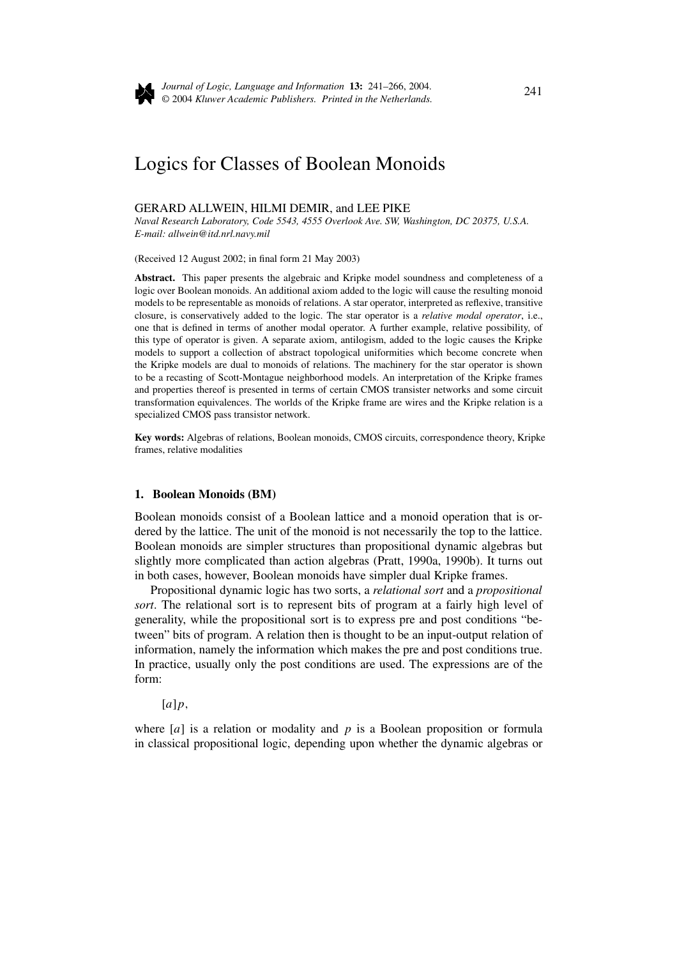

*Journal of Logic, Language and Information* **13:** 241–266, 2004. © 2004 *Kluwer Academic Publishers. Printed in the Netherlands.* <sup>241</sup>

# Logics for Classes of Boolean Monoids

#### GERARD ALLWEIN, HILMI DEMIR, and LEE PIKE

*Naval Research Laboratory, Code 5543, 4555 Overlook Ave. SW, Washington, DC 20375, U.S.A. E-mail: allwein@itd.nrl.navy.mil*

(Received 12 August 2002; in final form 21 May 2003)

**Abstract.** This paper presents the algebraic and Kripke model soundness and completeness of a logic over Boolean monoids. An additional axiom added to the logic will cause the resulting monoid models to be representable as monoids of relations. A star operator, interpreted as reflexive, transitive closure, is conservatively added to the logic. The star operator is a *relative modal operator*, i.e., one that is defined in terms of another modal operator. A further example, relative possibility, of this type of operator is given. A separate axiom, antilogism, added to the logic causes the Kripke models to support a collection of abstract topological uniformities which become concrete when the Kripke models are dual to monoids of relations. The machinery for the star operator is shown to be a recasting of Scott-Montague neighborhood models. An interpretation of the Kripke frames and properties thereof is presented in terms of certain CMOS transister networks and some circuit transformation equivalences. The worlds of the Kripke frame are wires and the Kripke relation is a specialized CMOS pass transistor network.

frames, relative modalities **Key words:** Algebras of relations, Boolean monoids, CMOS circuits, correspondence theory, Kripke

#### **1. Boolean Monoids (BM)**

Boolean monoids consist of a Boolean lattice and a monoid operation that is ordered by the lattice. The unit of the monoid is not necessarily the top to the lattice. Boolean monoids are simpler structures than propositional dynamic algebras but slightly more complicated than action algebras (Pratt, 1990a, 1990b). It turns out in both cases, however, Boolean monoids have simpler dual Kripke frames.

Propositional dynamic logic has two sorts, a *relational sort* and a *propositional sort*. The relational sort is to represent bits of program at a fairly high level of generality, while the propositional sort is to express pre and post conditions "between" bits of program. A relation then is thought to be an input-output relation of information, namely the information which makes the pre and post conditions true. In practice, usually only the post conditions are used. The expressions are of the form:

[*a*]*p,*

where [*a*] is a relation or modality and *p* is a Boolean proposition or formula in classical propositional logic, depending upon whether the dynamic algebras or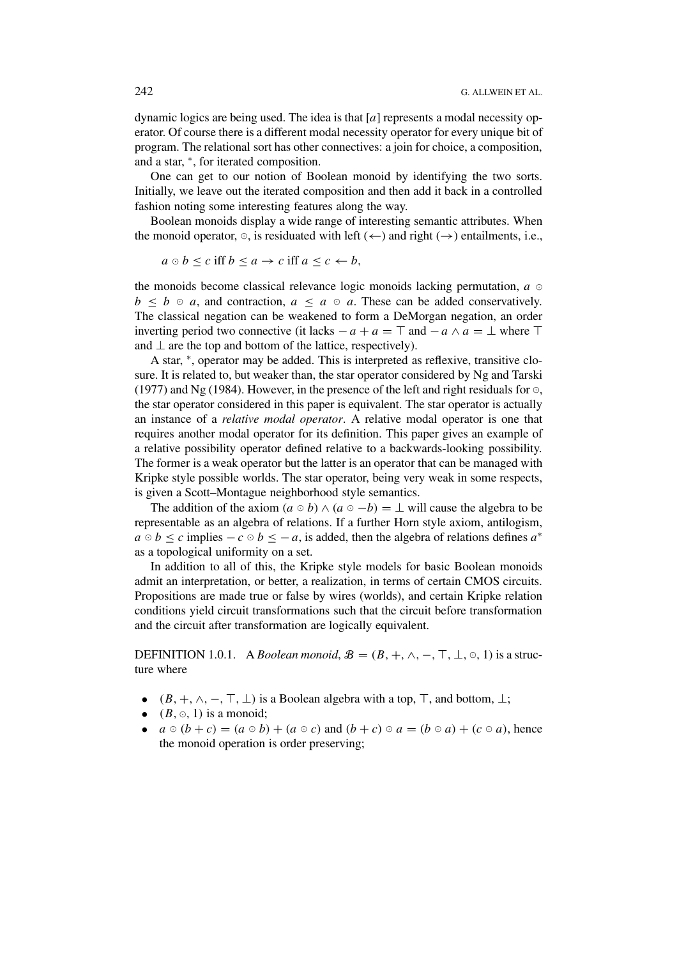dynamic logics are being used. The idea is that [*a*] represents a modal necessity operator. Of course there is a different modal necessity operator for every unique bit of program. The relational sort has other connectives: a join for choice, a composition, and a star, <sup>∗</sup>, for iterated composition.

One can get to our notion of Boolean monoid by identifying the two sorts. Initially, we leave out the iterated composition and then add it back in a controlled fashion noting some interesting features along the way.

Boolean monoids display a wide range of interesting semantic attributes. When the monoid operator,  $\circ$ , is residuated with left ( $\leftarrow$ ) and right ( $\rightarrow$ ) entailments, i.e.,

$$
a \circ b \le c \text{ iff } b \le a \to c \text{ iff } a \le c \leftarrow b,
$$

the monoids become classical relevance logic monoids lacking permutation,  $a \circ a$  $b \leq b \circ a$ , and contraction,  $a \leq a \circ a$ . These can be added conservatively. The classical negation can be weakened to form a DeMorgan negation, an order inverting period two connective (it lacks  $-a + a = T$  and  $-a \wedge a = \bot$  where  $\top$ and  $\perp$  are the top and bottom of the lattice, respectively).

A star, <sup>∗</sup>, operator may be added. This is interpreted as reflexive, transitive closure. It is related to, but weaker than, the star operator considered by Ng and Tarski (1977) and Ng (1984). However, in the presence of the left and right residuals for  $\circ$ , the star operator considered in this paper is equivalent. The star operator is actually an instance of a *relative modal operator*. A relative modal operator is one that requires another modal operator for its definition. This paper gives an example of a relative possibility operator defined relative to a backwards-looking possibility. The former is a weak operator but the latter is an operator that can be managed with Kripke style possible worlds. The star operator, being very weak in some respects, is given a Scott–Montague neighborhood style semantics.

The addition of the axiom  $(a \circ b) \land (a \circ -b) = \bot$  will cause the algebra to be representable as an algebra of relations. If a further Horn style axiom, antilogism,  $a \circ b \leq c$  implies  $-c \circ b \leq -a$ , is added, then the algebra of relations defines  $a^*$ as a topological uniformity on a set.

In addition to all of this, the Kripke style models for basic Boolean monoids admit an interpretation, or better, a realization, in terms of certain CMOS circuits. Propositions are made true or false by wires (worlds), and certain Kripke relation conditions yield circuit transformations such that the circuit before transformation and the circuit after transformation are logically equivalent.

DEFINITION 1.0.1. A *Boolean monoid*,  $\mathcal{B} = (B, +, \wedge, -, \top, \bot, \circ, 1)$  is a structure where

- $(B, +, \wedge, -, \top, \bot)$  is a Boolean algebra with a top,  $\top$ , and bottom,  $\bot$ ;
- $(B, \circ, 1)$  is a monoid;
- $a \circ (b + c) = (a \circ b) + (a \circ c)$  and  $(b + c) \circ a = (b \circ a) + (c \circ a)$ , hence the monoid operation is order preserving;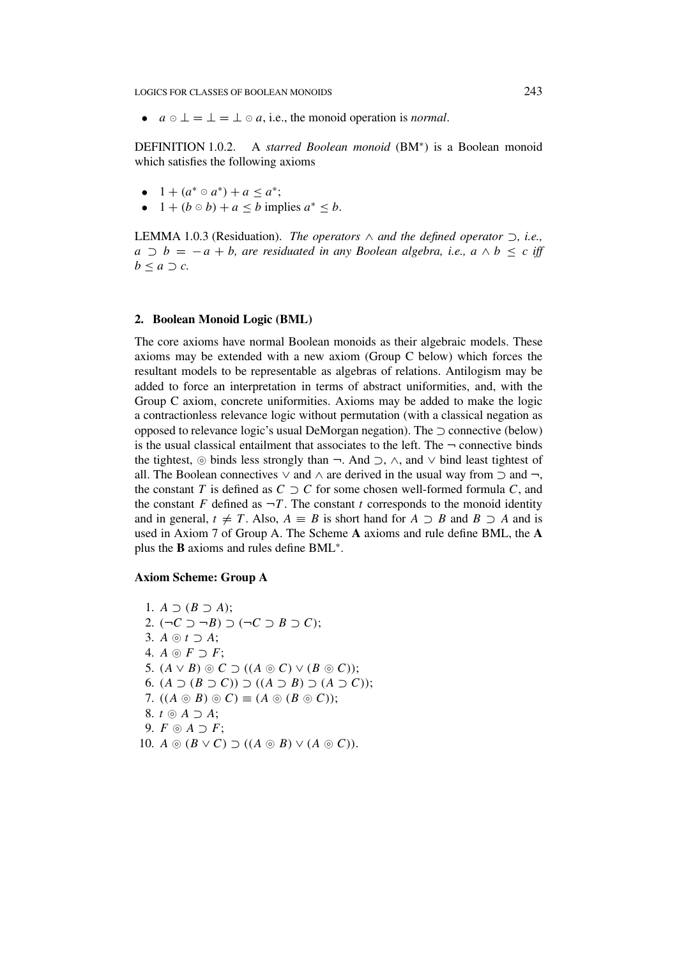LOGICS FOR CLASSES OF BOOLEAN MONOIDS 243

•  $a \circ \bot = \bot = \bot \circ a$ , i.e., the monoid operation is *normal*.

DEFINITION 1.0.2. A *starred Boolean monoid* (BM<sup>∗</sup>) is a Boolean monoid which satisfies the following axioms

- $1 + (a^* \circ a^*) + a \leq a^*$ ;
- $1 + (b \circ b) + a \leq b$  implies  $a^* \leq b$ .

LEMMA 1.0.3 (Residuation). *The operators* ∧ *and the defined operator* ⊃*, i.e., a* ⊃ *b* = − *a* + *b,* are residuated in any Boolean algebra, i.e.,  $a \wedge b \leq c$  iff  $b \leq a \supset c$ *.* 

## **2. Boolean Monoid Logic (BML)**

The core axioms have normal Boolean monoids as their algebraic models. These axioms may be extended with a new axiom (Group C below) which forces the resultant models to be representable as algebras of relations. Antilogism may be added to force an interpretation in terms of abstract uniformities, and, with the Group C axiom, concrete uniformities. Axioms may be added to make the logic a contractionless relevance logic without permutation (with a classical negation as opposed to relevance logic's usual DeMorgan negation). The  $\supset$  connective (below) is the usual classical entailment that associates to the left. The  $\neg$  connective binds the tightest,  $\circ$  binds less strongly than  $\neg$ . And  $\supset$ ,  $\wedge$ , and  $\vee$  bind least tightest of all. The Boolean connectives  $\vee$  and  $\wedge$  are derived in the usual way from  $\supset$  and  $\neg$ , the constant *T* is defined as  $C \supset C$  for some chosen well-formed formula *C*, and the constant *F* defined as  $\neg T$ . The constant *t* corresponds to the monoid identity and in general,  $t \neq T$ . Also,  $A \equiv B$  is short hand for  $A \supset B$  and  $B \supset A$  and is used in Axiom 7 of Group A. The Scheme **A** axioms and rule define BML, the **A** plus the **B** axioms and rules define BML<sup>∗</sup>.

## **Axiom Scheme: Group A**

1.  $A \supset (B \supset A)$ ; 2.  $(¬C ⊃ ¬B) ⊃ (¬C ⊇ B ⊇ C);$ 3.  $A \odot t \supset A$ ; 4.  $A \odot F \supset F$ ; 5.  $(A \vee B) \circledcirc C \supset ((A \circledcirc C) \vee (B \circledcirc C));$ 6. *(A* ⊃ *(B* ⊃ *C))* ⊃ *((A* ⊃ *B)* ⊃ *(A* ⊃ *C))*; 7.  $((A \odot B) \odot C) \equiv (A \odot (B \odot C));$ 8.  $t \odot A \supset A$ ; 9.  $F \odot A \supset F$ ; 10.  $A \odot (B \vee C) \supset ((A \odot B) \vee (A \odot C))$ .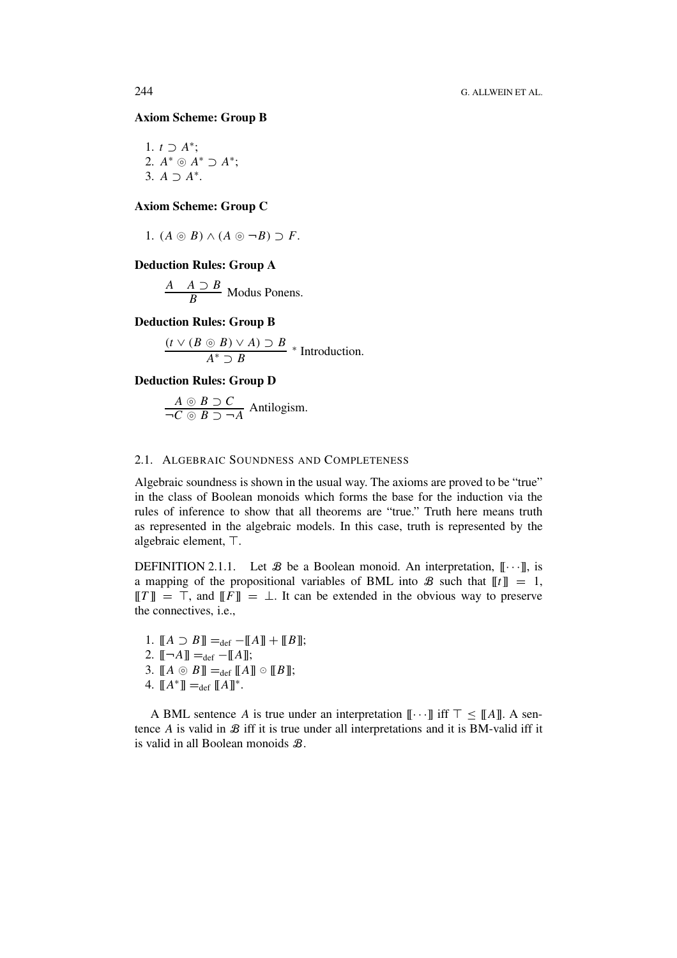# **Axiom Scheme: Group B**

1. 
$$
t \supset A^*
$$
;  
\n2.  $A^* \supset A^* \supset A^*$ ;  
\n3.  $A \supset A^*$ .

# **Axiom Scheme: Group C**

1.  $(A \odot B) \wedge (A \odot \neg B) \supset F$ .

#### **Deduction Rules: Group A**

*A A* ⊃ *B* Modus Ponens.

# **Deduction Rules: Group B**

$$
\frac{(t \vee (B \odot B) \vee A) \supset B}{A^* \supset B} * Introduction.
$$

# **Deduction Rules: Group D**

$$
\frac{A \circ B \supset C}{\neg C \circ B \supset \neg A}
$$
 Antilogism.

#### 2.1. ALGEBRAIC SOUNDNESS AND COMPLETENESS

Algebraic soundness is shown in the usual way. The axioms are proved to be "true" in the class of Boolean monoids which forms the base for the induction via the rules of inference to show that all theorems are "true." Truth here means truth as represented in the algebraic models. In this case, truth is represented by the algebraic element, T.

DEFINITION 2.1.1. Let  $\mathcal B$  be a Boolean monoid. An interpretation,  $[\![\cdots]\!]$ , is a mapping of the propositional variables of BML into  $\mathcal{B}$  such that  $||t|| = 1$ ,  $||T|| = \top$ , and  $||F|| = \bot$ . It can be extended in the obvious way to preserve the connectives, i.e.,

1.  $[[A \supset B]] =_{def} -[[A]] + [[B]];$ 2.  $[-A] =_{def} -[[A]]$ ; 3.  $[[A \circledcirc B]] =_{def} [[A]] \circ [[B]];$ 4.  $[[A^*]] =_{def} [[A]]^*$ .

A BML sentence *A* is true under an interpretation  $[\![\cdots]\!]$  iff  $\top \leq [\![A]\!]$ . A sentence  $A$  is valid in  $B$  iff it is true under all interpretations and it is BM-valid iff it is valid in all Boolean monoids B.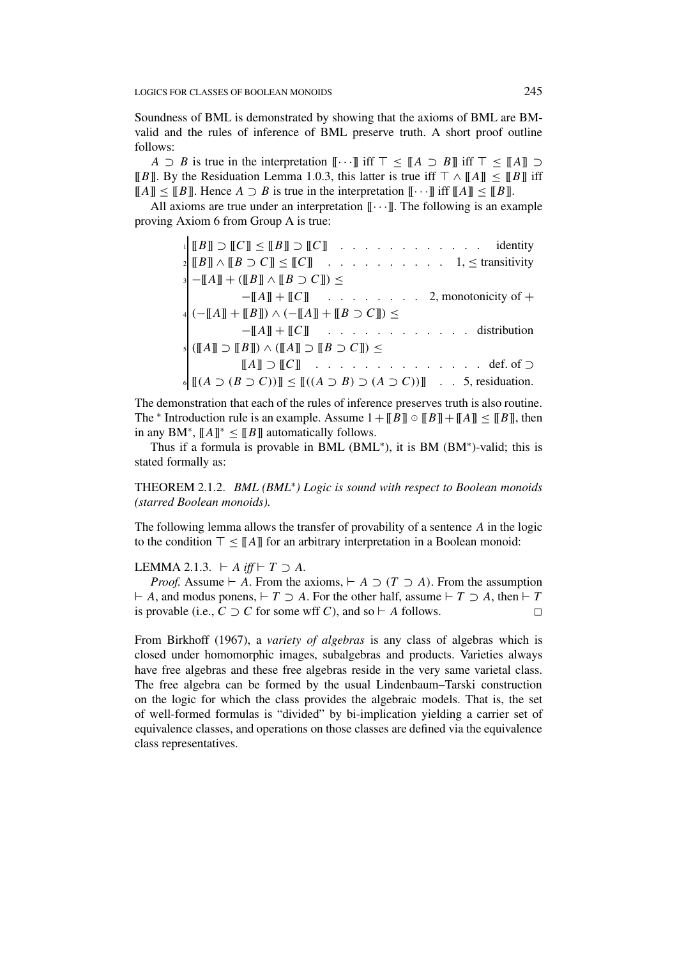Soundness of BML is demonstrated by showing that the axioms of BML are BMvalid and the rules of inference of BML preserve truth. A short proof outline follows:

*A*  $\supset$  *B* is true in the interpretation  $\llbracket \cdots \rrbracket$  iff  $\top \leq \llbracket A \supset B \rrbracket$  iff  $\top \leq \llbracket A \rrbracket \supset$ [[*B*]]. By the Residuation Lemma 1.0.3, this latter is true iff  $\top \wedge \llbracket A \rrbracket \leq \llbracket B \rrbracket$  iff  $||[A]|| \leq ||B||$ . Hence  $A \supset B$  is true in the interpretation  $|| \cdots ||$  iff  $||A|| \leq ||B||$ .

All axioms are true under an interpretation  $[\![\cdots]\!]$ . The following is an example proving Axiom 6 from Group A is true:

> $\mathbb{I} \left[ [B] \right] \supset [C] \leq [B] \supset [C]$  . . . . . . . . . . . . identity <sup>2</sup> [[*B*]] ∧ [[*B* ⊃ *C*]] ≤ [[*C*]] . . . . . . . . . . 1, ≤ transitivity <sup>3</sup> −[[*A*]] + *(*[[*B*]] ∧ [[*B* ⊃ *C*]]*)* ≤ −[[*A*]] + [[*C*]] . . . . . . . . 2, monotonicity of + <sup>4</sup> *(*−[[*A*]] + [[*B*]]*)* ∧ *(*−[[*A*]] + [[*B* ⊃ *C*]]*)* ≤ −[[*A*]] + [[*C*]] . . . . . . . . . . . . distribution <sup>5</sup> *(*[[*A*]] ⊃ [[*B*]]*)* ∧ *(*[[*A*]] ⊃ [[*B* ⊃ *C*]]*)* ≤  $[[A]] \supset [[C]]$  . . . . . . . . . . . . . . def. of  $\supset$  $\mathcal{L}$   $\left[\left[\left(A \supset (B \supset C)\right)\right] \leq \left[\left[\left(A \supset B\right) \supset (A \supset C)\right)\right]$  . . 5, residuation.

The demonstration that each of the rules of inference preserves truth is also routine. The <sup>\*</sup> Introduction rule is an example. Assume  $1 + [[B]] \circ [[B]] + [[A]] \le [[B]],$  then in any BM<sup>∗</sup>,  $\llbracket A \rrbracket^*$  <  $\llbracket B \rrbracket$  automatically follows.

Thus if a formula is provable in BML (BML<sup>∗</sup>), it is BM (BM<sup>∗</sup>)-valid; this is stated formally as:

THEOREM 2.1.2. *BML (BML*<sup>∗</sup>*) Logic is sound with respect to Boolean monoids (starred Boolean monoids).*

The following lemma allows the transfer of provability of a sentence *A* in the logic to the condition  $\top \leq \llbracket A \rrbracket$  for an arbitrary interpretation in a Boolean monoid:

LEMMA 2.1.3.  $\vdash A \text{ iff } \vdash T \supset A$ .

*Proof.* Assume  $\vdash A$ . From the axioms,  $\vdash A \supset (T \supset A)$ . From the assumption  *<i>A*, and modus ponens, *. For the other half, assume*  $\nvdash T ⊇ *A*$ *, then*  $\nvdash T$ is provable (i.e.,  $C$  ⊃  $C$  for some wff  $C$ ), and so  $\vdash$  A follows.  $\square$ 

From Birkhoff (1967), a *variety of algebras* is any class of algebras which is closed under homomorphic images, subalgebras and products. Varieties always have free algebras and these free algebras reside in the very same varietal class. The free algebra can be formed by the usual Lindenbaum–Tarski construction on the logic for which the class provides the algebraic models. That is, the set of well-formed formulas is "divided" by bi-implication yielding a carrier set of equivalence classes, and operations on those classes are defined via the equivalence class representatives.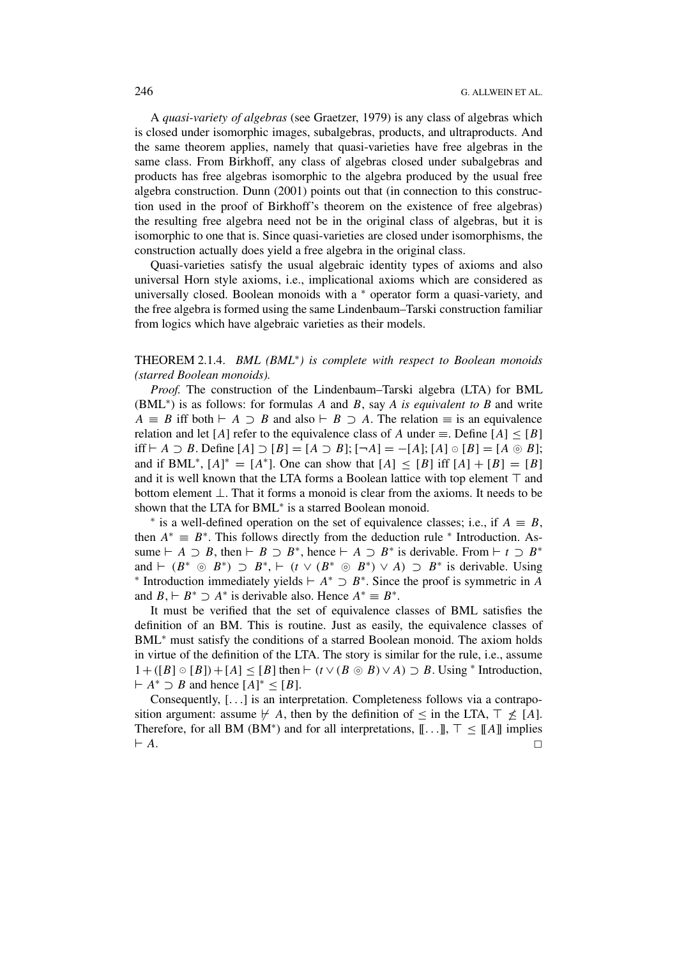A *quasi-variety of algebras* (see Graetzer, 1979) is any class of algebras which is closed under isomorphic images, subalgebras, products, and ultraproducts. And the same theorem applies, namely that quasi-varieties have free algebras in the same class. From Birkhoff, any class of algebras closed under subalgebras and products has free algebras isomorphic to the algebra produced by the usual free algebra construction. Dunn (2001) points out that (in connection to this construction used in the proof of Birkhoff's theorem on the existence of free algebras) the resulting free algebra need not be in the original class of algebras, but it is isomorphic to one that is. Since quasi-varieties are closed under isomorphisms, the construction actually does yield a free algebra in the original class.

Quasi-varieties satisfy the usual algebraic identity types of axioms and also universal Horn style axioms, i.e., implicational axioms which are considered as universally closed. Boolean monoids with a  $*$  operator form a quasi-variety, and the free algebra is formed using the same Lindenbaum–Tarski construction familiar from logics which have algebraic varieties as their models.

# THEOREM 2.1.4. *BML (BML*<sup>∗</sup>*) is complete with respect to Boolean monoids (starred Boolean monoids).*

*Proof.* The construction of the Lindenbaum–Tarski algebra (LTA) for BML (BML<sup>∗</sup>) is as follows: for formulas *A* and *B*, say *A is equivalent to B* and write  $A \equiv B$  iff both  $\vdash A \supset B$  and also  $\vdash B \supset A$ . The relation  $\equiv$  is an equivalence relation and let [*A*] refer to the equivalence class of *A* under  $\equiv$ . Define [*A*] < [*B*] iff  $\vdash A \supset B$ . Define  $[A] \supset [B] = [A \supset B]$ ;  $[\neg A] = -[A]$ ;  $[A] \circ [B] = [A \circ B]$ ; and if BML<sup>\*</sup>,  $[A]^* = [A^*]$ . One can show that  $[A] \leq [B]$  iff  $[A] + [B] = [B]$ and it is well known that the LTA forms a Boolean lattice with top element  $\top$  and bottom element ⊥. That it forms a monoid is clear from the axioms. It needs to be shown that the LTA for BML<sup>\*</sup> is a starred Boolean monoid.<br><sup>\*</sup> is a well-defined operation on the set of equivalence classes; i.e., if  $A \equiv B$ ,

then  $A^* \equiv B^*$ . This follows directly from the deduction rule  $*$  Introduction. Assume  $\vdash A \supset B$ , then  $\vdash B \supset B^*$ , hence  $\vdash A \supset B^*$  is derivable. From  $\vdash t \supset B^*$ and  $\vdash (B^* \odot B^*) \supset B^*, \vdash (t \vee (B^* \odot B^*) \vee A) \supset B^*$  is derivable. Using <br>\* Introduction immediately yields  $\vdash A^* \supset B^*$ . Since the proof is symmetric in A and  $B, \vdash B^* \supset A^*$  is derivable also. Hence  $A^* \equiv B^*$ .

It must be verified that the set of equivalence classes of BML satisfies the definition of an BM. This is routine. Just as easily, the equivalence classes of BML<sup>∗</sup> must satisfy the conditions of a starred Boolean monoid. The axiom holds in virtue of the definition of the LTA. The story is similar for the rule, i.e., assume  $1 + ([B] ∘ [B]) + [A] ≤ [B]$  then  $\vdash$  ( $t ∨ (B ⊗ B) ∨ A$ ) ⊃ *B*. Using \* Introduction,  $A^* \supset B$  and hence  $[A]^* \leq [B]$ .

Consequently, [*...*] is an interpretation. Completeness follows via a contraposition argument: assume  $\nvdash A$ , then by the definition of  $\leq$  in the LTA,  $\top \leq [A]$ . Therefore, for all BM (BM<sup>\*</sup>) and for all interpretations,  $[\![...]\!]$ ,  $\top \leq [\![A]\!]$  implies  $\vdash A$ .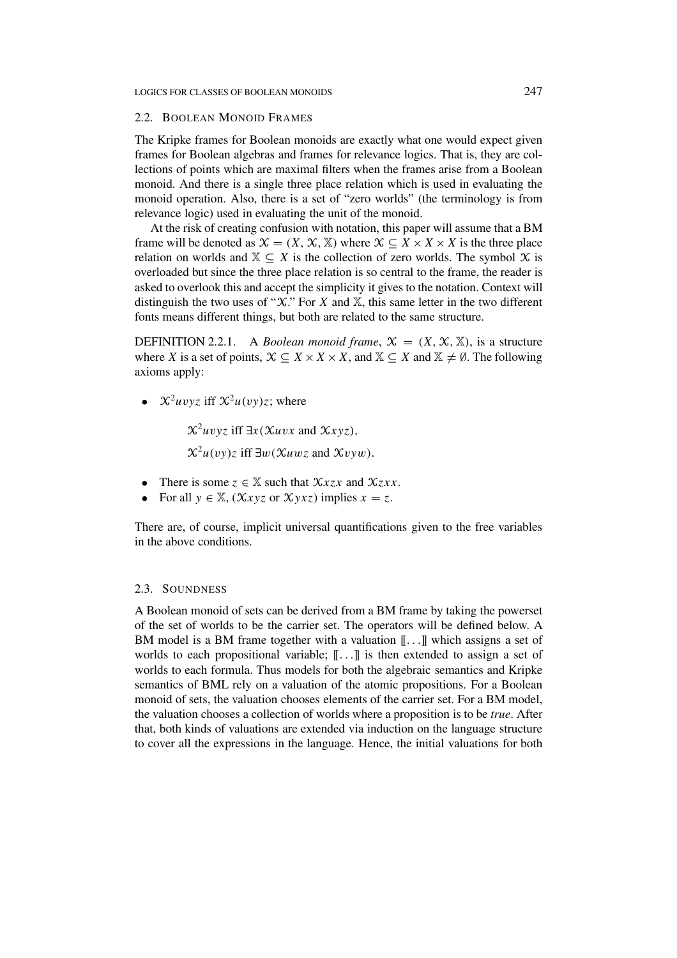#### 2.2. BOOLEAN MONOID FRAMES

The Kripke frames for Boolean monoids are exactly what one would expect given frames for Boolean algebras and frames for relevance logics. That is, they are collections of points which are maximal filters when the frames arise from a Boolean monoid. And there is a single three place relation which is used in evaluating the monoid operation. Also, there is a set of "zero worlds" (the terminology is from relevance logic) used in evaluating the unit of the monoid.

At the risk of creating confusion with notation, this paper will assume that a BM frame will be denoted as  $\mathcal{X} = (X, \mathcal{X}, \mathbb{X})$  where  $\mathcal{X} \subset X \times X \times X$  is the three place relation on worlds and  $X \subseteq X$  is the collection of zero worlds. The symbol  $X$  is overloaded but since the three place relation is so central to the frame, the reader is asked to overlook this and accept the simplicity it gives to the notation. Context will distinguish the two uses of " $X$ ." For  $X$  and  $X$ , this same letter in the two different fonts means different things, but both are related to the same structure.

DEFINITION 2.2.1. A *Boolean monoid frame*,  $\mathcal{X} = (X, \mathcal{X}, \mathbb{X})$ , is a structure where *X* is a set of points,  $X \subseteq X \times X \times X$ , and  $X \subseteq X$  and  $X \neq \emptyset$ . The following axioms apply:

•  $\chi^2 u v v z$  iff  $\chi^2 u (v y) z$ ; where

 $\chi^2 u v y z$  iff  $\exists x (\chi u v x$  and  $\chi x y z$ ),

 $\chi^2 u(vy)z$  iff  $\exists w(\chi u wz$  and  $\chi v yw)$ .

- There is some  $z \in \mathbb{X}$  such that  $\mathcal{X} x z x$  and  $\mathcal{X} z x x$ .
- For all  $y \in \mathbb{X}$ ,  $(\mathcal{X}xyz)$  or  $\mathcal{X}yxz$ ) implies  $x = z$ .

There are, of course, implicit universal quantifications given to the free variables in the above conditions.

# 2.3. SOUNDNESS

A Boolean monoid of sets can be derived from a BM frame by taking the powerset of the set of worlds to be the carrier set. The operators will be defined below. A BM model is a BM frame together with a valuation [[*...*]] which assigns a set of worlds to each propositional variable; [[*...*]] is then extended to assign a set of worlds to each formula. Thus models for both the algebraic semantics and Kripke semantics of BML rely on a valuation of the atomic propositions. For a Boolean monoid of sets, the valuation chooses elements of the carrier set. For a BM model, the valuation chooses a collection of worlds where a proposition is to be *true*. After that, both kinds of valuations are extended via induction on the language structure to cover all the expressions in the language. Hence, the initial valuations for both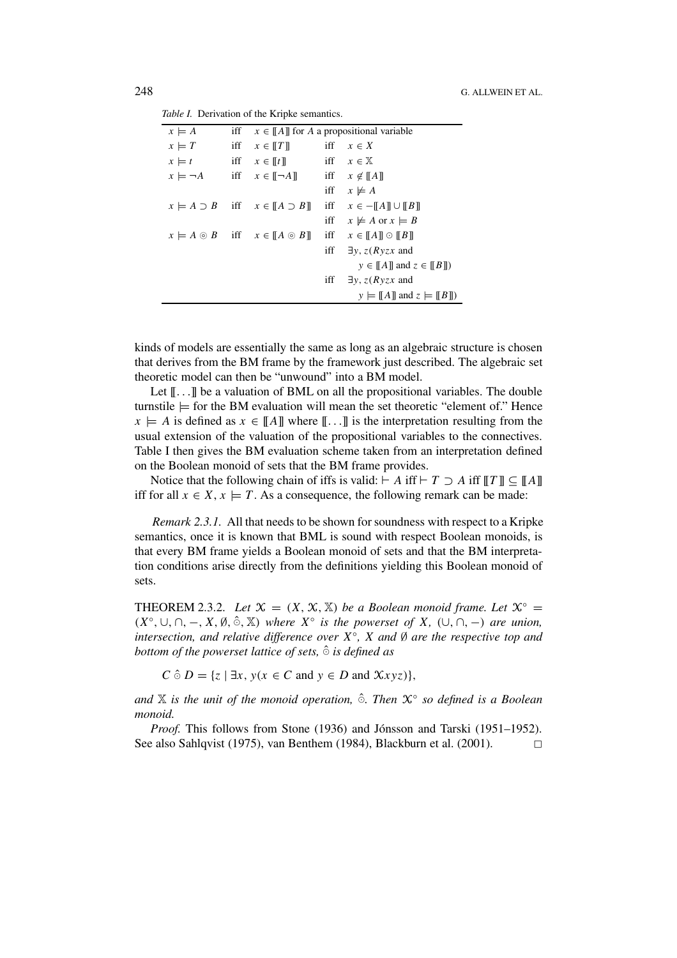|  | Table I. Derivation of the Kripke semantics. |  |  |  |
|--|----------------------------------------------|--|--|--|
|--|----------------------------------------------|--|--|--|

| $x \models A$        | iff | $x \in \llbracket A \rrbracket$ for A a propositional variable        |     |                                                                             |
|----------------------|-----|-----------------------------------------------------------------------|-----|-----------------------------------------------------------------------------|
| iff<br>$x \models T$ |     | $x \in \llbracket T \rrbracket$                                       | iff | $x \in X$                                                                   |
| $x \models t$        |     | iff $x \in \llbracket t \rrbracket$                                   |     | iff $x \in \mathbb{X}$                                                      |
|                      |     | $x \models \neg A$ iff $x \in [\neg A]$ iff $x \notin [\![A]\!]$      |     |                                                                             |
|                      |     |                                                                       |     | iff $x \not\models A$                                                       |
|                      |     | $x \models A \supset B$ iff $x \in \llbracket A \supset B \rrbracket$ |     | iff $x \in -[[A]] \cup [[B]]$                                               |
|                      |     |                                                                       |     | iff $x \not\models A$ or $x \models B$                                      |
|                      |     | $x \models A \odot B$ iff $x \in \llbracket A \odot B \rrbracket$     |     | iff $x \in \llbracket A \rrbracket \odot \llbracket B \rrbracket$           |
|                      |     |                                                                       |     | iff $\exists y, z(Ryzx \text{ and}$                                         |
|                      |     |                                                                       |     | $y \in \llbracket A \rrbracket$ and $z \in \llbracket B \rrbracket$ )       |
|                      |     |                                                                       | iff | $\exists y, z(Ryzx$ and                                                     |
|                      |     |                                                                       |     | $y \models \llbracket A \rrbracket$ and $z \models \llbracket B \rrbracket$ |

kinds of models are essentially the same as long as an algebraic structure is chosen that derives from the BM frame by the framework just described. The algebraic set theoretic model can then be "unwound" into a BM model.

Let  $[\![...]\!]$  be a valuation of BML on all the propositional variables. The double turnstile  $\models$  for the BM evaluation will mean the set theoretic "element of." Hence  $x \models A$  is defined as  $x \in [[A]]$  where  $[[\dots]]$  is the interpretation resulting from the usual extension of the valuation of the propositional variables to the connectives. Table I then gives the BM evaluation scheme taken from an interpretation defined on the Boolean monoid of sets that the BM frame provides.

Notice that the following chain of iffs is valid:  $\vdash A$  iff  $\vdash T \supset A$  iff  $\llbracket T \rrbracket \subseteq \llbracket A \rrbracket$ iff for all  $x \in X$ ,  $x \models T$ . As a consequence, the following remark can be made:

*Remark 2.3.1.* All that needs to be shown for soundness with respect to a Kripke semantics, once it is known that BML is sound with respect Boolean monoids, is that every BM frame yields a Boolean monoid of sets and that the BM interpretation conditions arise directly from the definitions yielding this Boolean monoid of sets.

THEOREM 2.3.2. *Let*  $\mathcal{X} = (X, \mathcal{X}, \mathbb{X})$  *be a Boolean monoid frame. Let*  $\mathcal{X}^{\circ} =$  $(X^{\circ}, \cup, \cap, -, X, \emptyset, \hat{\circ}, \mathbb{X})$  *where*  $X^{\circ}$  *is the powerset of*  $X$ *,*  $(\cup, \cap, -)$  *are union, intersection, and relative difference over X*◦*, X and* ∅ *are the respective top and bottom of the powerset lattice of sets,*  $\hat{\circ}$  *is defined as* 

 $C \hat{\circ} D = \{z \mid \exists x, y(x \in C \text{ and } y \in D \text{ and } \mathcal{X}xyz)\},$ 

dand **X** is the unit of the monoid operation, ∂. Then  $\mathcal{X}^\circ$  so defined is a Boolean *monoid.*

*Proof.* This follows from Stone (1936) and Jónsson and Tarski (1951–1952). See also Sahlqvist (1975), van Benthem (1984), Blackburn et al. (2001).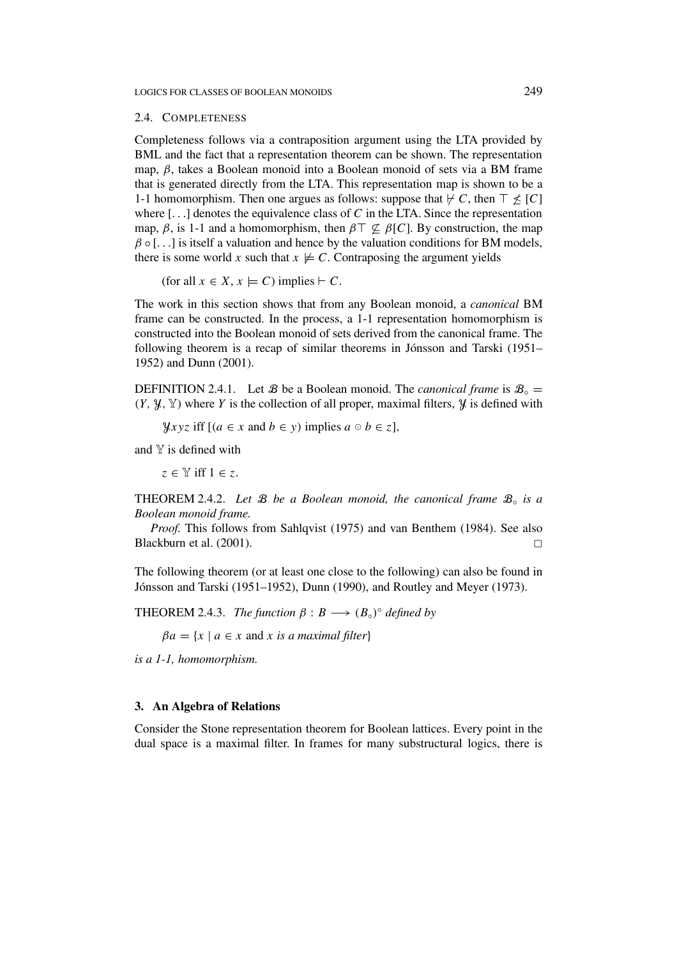## 2.4. COMPLETENESS

Completeness follows via a contraposition argument using the LTA provided by BML and the fact that a representation theorem can be shown. The representation map, *β*, takes a Boolean monoid into a Boolean monoid of sets via a BM frame that is generated directly from the LTA. This representation map is shown to be a 1-1 homomorphism. Then one argues as follows: suppose that  $\nvdash C$ , then  $\top \nleq [C]$ where [*...*] denotes the equivalence class of *C* in the LTA. Since the representation map,  $\beta$ , is 1-1 and a homomorphism, then  $\beta \top \nsubseteq \beta[C]$ . By construction, the map  $\beta \circ [\dots]$  is itself a valuation and hence by the valuation conditions for BM models, there is some world *x* such that  $x \not\models C$ . Contraposing the argument yields

(for all  $x \in X$ ,  $x \models C$ ) implies  $\vdash C$ .

The work in this section shows that from any Boolean monoid, a *canonical* BM frame can be constructed. In the process, a 1-1 representation homomorphism is constructed into the Boolean monoid of sets derived from the canonical frame. The following theorem is a recap of similar theorems in Jónsson and Tarski (1951– 1952) and Dunn (2001).

DEFINITION 2.4.1. Let **B** be a Boolean monoid. The *canonical frame* is  $B_0 =$  $(Y, \mathcal{Y}, \mathcal{Y})$  where *Y* is the collection of all proper, maximal filters,  $\mathcal{Y}$  is defined with

*yxyz* iff  $[(a \in x \text{ and } b \in y) \text{ implies } a \circ b \in z]$ ,

and  $Y$  is defined with

 $z \in \mathbb{Y}$  iff  $1 \in z$ .

THEOREM 2.4.2. *Let* B *be a Boolean monoid, the canonical frame* B◦ *is a Boolean monoid frame.*

*Proof.* This follows from Sahlqvist (1975) and van Benthem (1984). See also Blackburn et al. (2001).

The following theorem (or at least one close to the following) can also be found in Jónsson and Tarski (1951–1952), Dunn (1990), and Routley and Meyer (1973).

**THEOREM** 2.4.3. *The function*  $\beta : B \longrightarrow (B_{\circ})^{\circ}$  *defined by* 

 $βa = {x | a ∈ x and x is a maximal filter}$ 

*is a 1-1, homomorphism.*

# **3. An Algebra of Relations**

Consider the Stone representation theorem for Boolean lattices. Every point in the dual space is a maximal filter. In frames for many substructural logics, there is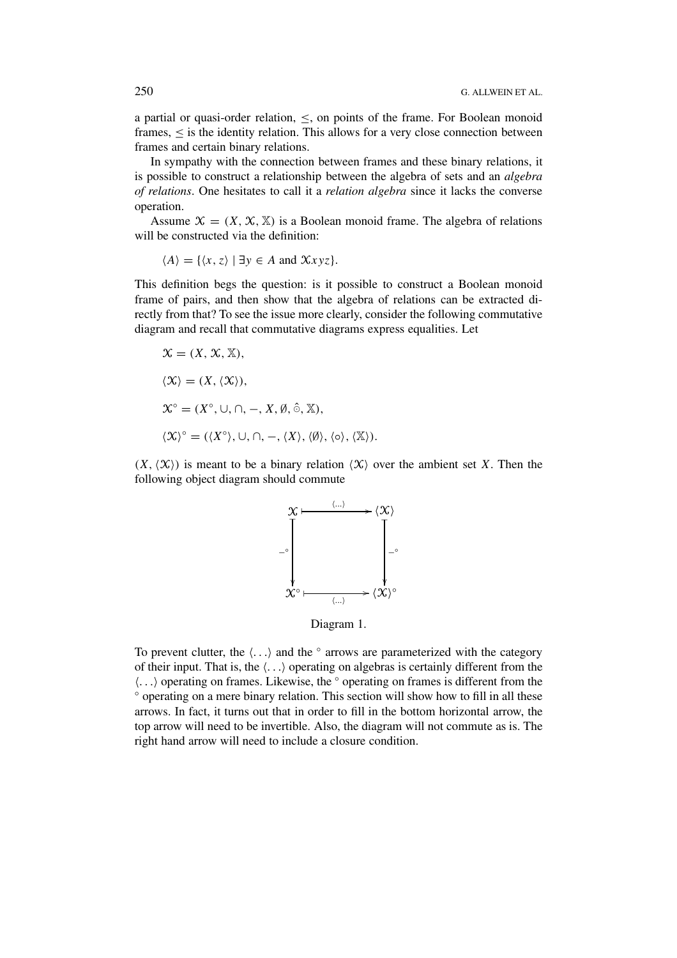a partial or quasi-order relation,  $\leq$ , on points of the frame. For Boolean monoid frames,  $\leq$  is the identity relation. This allows for a very close connection between frames and certain binary relations.

In sympathy with the connection between frames and these binary relations, it is possible to construct a relationship between the algebra of sets and an *algebra of relations*. One hesitates to call it a *relation algebra* since it lacks the converse operation.

Assume  $\mathcal{X} = (X, \mathcal{X}, \mathbb{X})$  is a Boolean monoid frame. The algebra of relations will be constructed via the definition:

$$
\langle A \rangle = \{ \langle x, z \rangle \mid \exists y \in A \text{ and } \mathcal{X}xyz \}.
$$

This definition begs the question: is it possible to construct a Boolean monoid frame of pairs, and then show that the algebra of relations can be extracted directly from that? To see the issue more clearly, consider the following commutative diagram and recall that commutative diagrams express equalities. Let

$$
\mathcal{X} = (X, \mathcal{X}, \mathbb{X}),
$$
  
\n
$$
\langle \mathcal{X} \rangle = (X, \langle \mathcal{X} \rangle),
$$
  
\n
$$
\mathcal{X}^{\circ} = (X^{\circ}, \cup, \cap, -, X, \emptyset, \hat{\circ}, \mathbb{X}),
$$
  
\n
$$
\langle \mathcal{X} \rangle^{\circ} = (\langle X^{\circ} \rangle, \cup, \cap, -, \langle X \rangle, \langle \emptyset \rangle, \langle \circ \rangle, \langle \mathbb{X} \rangle).
$$

 $(X, \langle X \rangle)$  is meant to be a binary relation  $\langle X \rangle$  over the ambient set *X*. Then the following object diagram should commute



Diagram 1.

To prevent clutter, the  $\langle \ldots \rangle$  and the  $\circ$  arrows are parameterized with the category of their input. That is, the  $\langle \ldots \rangle$  operating on algebras is certainly different from the *...* operating on frames. Likewise, the ◦ operating on frames is different from the ◦ operating on a mere binary relation. This section will show how to fill in all these arrows. In fact, it turns out that in order to fill in the bottom horizontal arrow, the top arrow will need to be invertible. Also, the diagram will not commute as is. The right hand arrow will need to include a closure condition.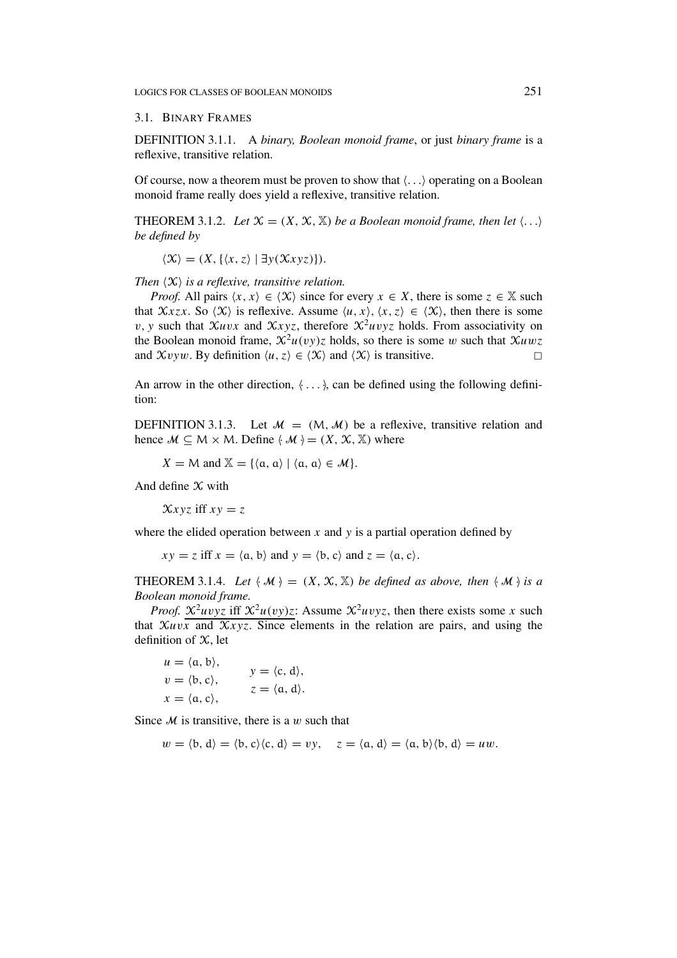# 3.1. BINARY FRAMES

DEFINITION 3.1.1. A *binary, Boolean monoid frame*, or just *binary frame* is a reflexive, transitive relation.

Of course, now a theorem must be proven to show that  $\langle \ldots \rangle$  operating on a Boolean monoid frame really does yield a reflexive, transitive relation.

THEOREM 3.1.2. *Let*  $X = (X, X, X)$  *be a Boolean monoid frame, then let*  $\langle \ldots \rangle$ *be defined by*

 $\langle \mathcal{X} \rangle = (X, \{ \langle x, z \rangle \mid \exists y(\mathcal{X}xyz) \}).$ 

*Then*  $\langle X \rangle$  *is a reflexive, transitive relation.* 

*Proof.* All pairs  $\langle x, x \rangle \in \langle X \rangle$  since for every  $x \in X$ , there is some  $z \in \mathbb{X}$  such that  $\mathcal{X}xzx$ . So  $\langle \mathcal{X} \rangle$  is reflexive. Assume  $\langle u, x \rangle$ ,  $\langle x, z \rangle \in \langle \mathcal{X} \rangle$ , then there is some *v*, *y* such that  $\chi$ *uvx* and  $\chi$ *xyz*, therefore  $\chi$ <sup>2</sup>*uvyz* holds. From associativity on the Boolean monoid frame,  $\mathcal{X}^2u(vy)z$  holds, so there is some *w* such that  $\mathcal{X}uwz$ and  $\mathcal{X}vvw$ . By definition  $\langle u, z \rangle \in \langle \mathcal{X} \rangle$  and  $\langle \mathcal{X} \rangle$  is transitive.

An arrow in the other direction,  $\langle \ldots \rangle$  can be defined using the following definition:

DEFINITION 3.1.3. Let  $\mathcal{M} = (M, \mathcal{M})$  be a reflexive, transitive relation and hence  $M \subseteq M \times M$ . Define  $\langle M \rangle = (X, \mathcal{X}, \mathbb{X})$  where

 $X = M$  and  $X = \{(a, a) | (a, a) \in M\}.$ 

And define  $X$  with

 $\chi$ *xyz* iff  $xy = z$ 

where the elided operation between  $x$  and  $y$  is a partial operation defined by

 $xy = z$  iff  $x = \langle a, b \rangle$  and  $y = \langle b, c \rangle$  and  $z = \langle a, c \rangle$ .

THEOREM 3.1.4. Let  $\langle M \rangle = (X, \mathcal{X}, \mathbb{X})$  be defined as above, then  $\langle M \rangle$  is a *Boolean monoid frame.*

*Proof.*  $\mathcal{X}^2 u v y z$  iff  $\mathcal{X}^2 u (v y) z$ : Assume  $\mathcal{X}^2 u v y z$ , then there exists some *x* such that  $\chi_{\mu\nu x}$  and  $\chi_{\chi yz}$ . Since elements in the relation are pairs, and using the definition of  $X$ , let

$$
u = \langle a, b \rangle,
$$
  
\n
$$
v = \langle b, c \rangle,
$$
  
\n
$$
y = \langle c, d \rangle,
$$
  
\n
$$
z = \langle a, d \rangle.
$$

Since M is transitive, there is a *w* such that

$$
w = \langle b, d \rangle = \langle b, c \rangle \langle c, d \rangle = vy, \quad z = \langle a, d \rangle = \langle a, b \rangle \langle b, d \rangle = uw.
$$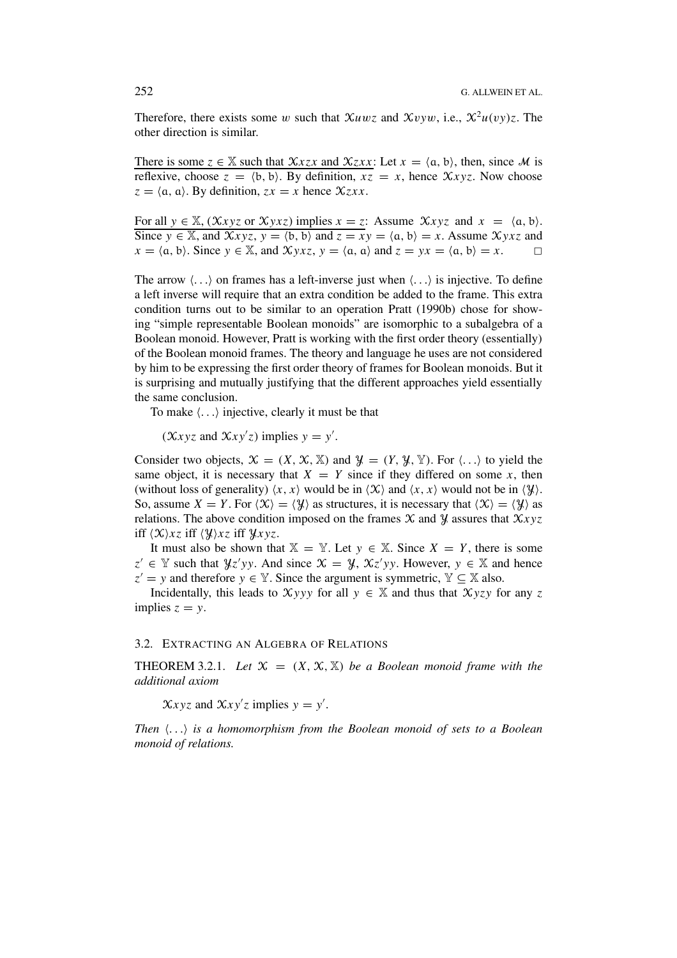Therefore, there exists some *w* such that  $\mathcal{X}uwz$  and  $\mathcal{X}vyw$ , i.e.,  $\mathcal{X}^2u(vy)z$ . The other direction is similar.

There is some  $z \in \mathbb{X}$  such that  $\mathcal{X}z x x$  and  $\mathcal{X}z x x$ : Let  $x = \langle a, b \rangle$ , then, since M is reflexive, choose  $z = \langle b, b \rangle$ . By definition,  $xz = x$ , hence  $\mathcal{X}xyz$ . Now choose  $z = \langle a, a \rangle$ . By definition,  $zx = x$  hence  $\mathcal{X}zxx$ .

For all  $y \in \mathbb{X}$ ,  $(\mathcal{X}xyz \text{ or } \mathcal{X}yxz)$  implies  $x = z$ : Assume  $\mathcal{X}xyz$  and  $x = \langle a, b \rangle$ . Since  $y \in \mathbb{X}$ , and  $\mathcal{X}xyz$ ,  $y = \langle b, b \rangle$  and  $z = xy = \langle a, b \rangle = x$ . Assume  $\mathcal{X}yxz$  and  $x = \langle a, b \rangle$ . Since  $y \in \mathbb{X}$ , and  $\mathcal{X} y x z$ ,  $y = \langle a, a \rangle$  and  $z = yx = \langle a, b \rangle = x$ .

The arrow  $\langle \ldots \rangle$  on frames has a left-inverse just when  $\langle \ldots \rangle$  is injective. To define a left inverse will require that an extra condition be added to the frame. This extra condition turns out to be similar to an operation Pratt (1990b) chose for showing "simple representable Boolean monoids" are isomorphic to a subalgebra of a Boolean monoid. However, Pratt is working with the first order theory (essentially) of the Boolean monoid frames. The theory and language he uses are not considered by him to be expressing the first order theory of frames for Boolean monoids. But it is surprising and mutually justifying that the different approaches yield essentially the same conclusion.

To make  $\langle \ldots \rangle$  injective, clearly it must be that

 $(\mathcal{X} \times \mathcal{Y} \times \mathcal{X})$  implies  $\mathcal{Y} = \mathcal{Y}'$ .

Consider two objects,  $\mathcal{X} = (X, \mathcal{X}, \mathbb{X})$  and  $\mathcal{Y} = (Y, \mathcal{Y}, \mathbb{Y})$ . For  $\langle \ldots \rangle$  to yield the same object, it is necessary that  $X = Y$  since if they differed on some x, then (without loss of generality)  $\langle x, x \rangle$  would be in  $\langle \mathcal{X} \rangle$  and  $\langle x, x \rangle$  would not be in  $\langle \mathcal{Y} \rangle$ . So, assume  $X = Y$ . For  $\langle X \rangle = \langle Y \rangle$  as structures, it is necessary that  $\langle X \rangle = \langle Y \rangle$  as relations. The above condition imposed on the frames  $\mathcal X$  and  $\mathcal Y$  assures that  $\mathcal X$ *xyz* iff  $\langle \mathcal{X} \rangle$ *xz* iff  $\langle \mathcal{Y} \rangle$ *xz* iff  $\mathcal{Y}$ *xyz*.

It must also be shown that  $X = Y$ . Let  $y \in X$ . Since  $X = Y$ , there is some *z*<sup>'</sup> ∈  $\mathbb Y$  such that  $\mathcal Y$ *z'yy*. And since  $\mathcal X = \mathcal Y$ ,  $\mathcal X$ *z'yy*. However,  $y \in \mathbb X$  and hence  $z' = y$  and therefore  $y \in \mathbb{Y}$ . Since the argument is symmetric,  $\mathbb{Y} \subseteq \mathbb{X}$  also.

Incidentally, this leads to  $Xyyy$  for all  $y \in \mathbb{X}$  and thus that  $Xyzy$  for any z implies  $z = y$ .

## 3.2. EXTRACTING AN ALGEBRA OF RELATIONS

**THEOREM 3.2.1.** Let  $X = (X, X, X)$  be a Boolean monoid frame with the *additional axiom*

 $\chi_{xyz}$  and  $\chi_{xy/z}$  implies  $y = y'$ .

*Then ... is a homomorphism from the Boolean monoid of sets to a Boolean monoid of relations.*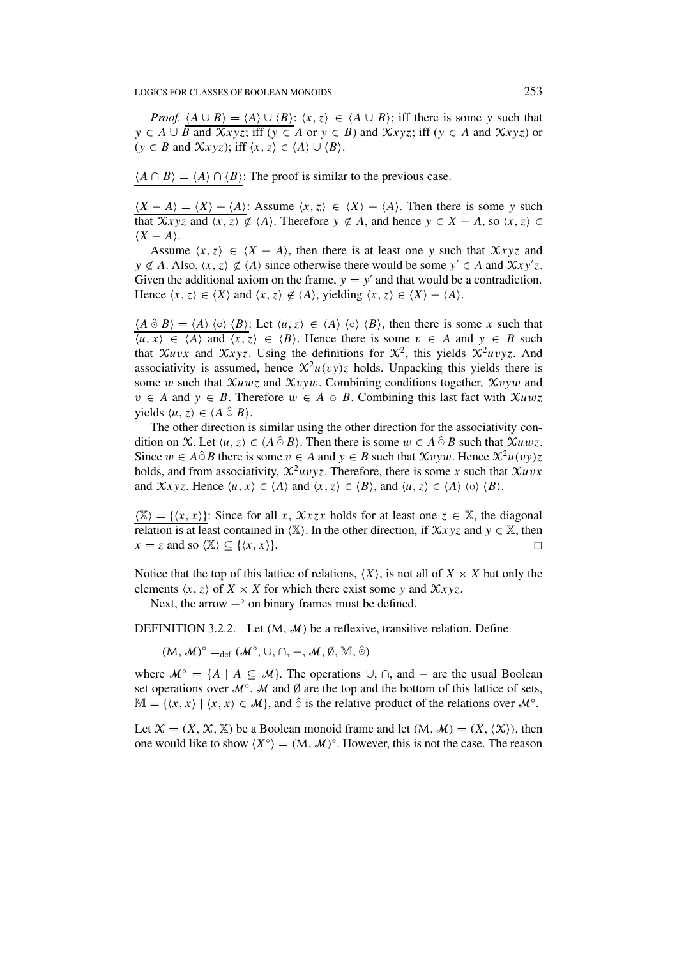*Proof.*  $\langle A \cup B \rangle = \langle A \rangle \cup \langle B \rangle$ :  $\langle x, z \rangle \in \langle A \cup B \rangle$ ; iff there is some *y* such that *y* ∈ *A* ∪ *B* and  $\mathcal{X}$ *xyz*; iff (*y* ∈ *A* or *y* ∈ *B*) and  $\mathcal{X}$ *xyz*; iff (*y* ∈ *A* and  $\mathcal{X}$ *xyz*) or  $(y \in B \text{ and } \mathcal{X}xyz)$ ; iff  $\langle x, z \rangle \in \langle A \rangle \cup \langle B \rangle$ .

 $\langle A \cap B \rangle = \langle A \rangle \cap \langle B \rangle$ : The proof is similar to the previous case.

 $(X - A) = \langle X \rangle - \langle A \rangle$ : Assume  $\langle x, z \rangle \in \langle X \rangle - \langle A \rangle$ . Then there is some *y* such that  $\overline{Xxyz}$  and  $\overline{\langle x, z \rangle} \notin \langle A \rangle$ . Therefore  $y \notin A$ , and hence  $y \in X - A$ , so  $\langle x, z \rangle \in$  $\langle X - A \rangle$ .

Assume  $\langle x, z \rangle \in \langle X - A \rangle$ , then there is at least one *y* such that  $\mathcal{X} \times \mathcal{Y} \times \mathcal{Z}$  and  $y \notin A$ . Also,  $\langle x, z \rangle \notin \langle A \rangle$  since otherwise there would be some  $y' \in A$  and  $\mathcal{X}xy'z$ . Given the additional axiom on the frame,  $y = y'$  and that would be a contradiction. Hence  $\langle x, z \rangle \in \langle X \rangle$  and  $\langle x, z \rangle \notin \langle A \rangle$ , yielding  $\langle x, z \rangle \in \langle X \rangle - \langle A \rangle$ .

 $\langle A \hat{\circ} B \rangle = \langle A \rangle \langle \circ \rangle \langle B \rangle$ : Let  $\langle u, z \rangle \in \langle A \rangle \langle \circ \rangle \langle B \rangle$ , then there is some *x* such that *u, x* ∈  $\langle A \rangle$  and  $\langle x, z \rangle$  ∈  $\langle B \rangle$ . Hence there is some *v* ∈ *A* and *y* ∈ *B* such that Xuvx and Xxyz. Using the definitions for  $\mathcal{X}^2$ , this yields  $\mathcal{X}^2$ uvyz. And associativity is assumed, hence  $\mathcal{X}^2u(vy)z$  holds. Unpacking this yields there is some *w* such that X*uwz* and X*vyw*. Combining conditions together, X*vyw* and *v* ∈ *A* and *y* ∈ *B*. Therefore  $w \in A \circ B$ . Combining this last fact with  $\mathcal{X}uwz$  $yields \langle u, z \rangle \in \langle A \hat{\circ} B \rangle.$ 

The other direction is similar using the other direction for the associativity condition on X. Let  $\langle u, z \rangle \in \langle A \hat{\circ} B \rangle$ . Then there is some  $w \in A \hat{\circ} B$  such that  $\mathcal{X}uwz$ . Since  $w \in A \hat{\circ} B$  there is some  $v \in A$  and  $y \in B$  such that  $\mathcal{X}v \circ w$ . Hence  $\mathcal{X}^2u(vy)z$ holds, and from associativity,  $\mathcal{X}^2 u v v z$ . Therefore, there is some *x* such that  $\mathcal{X} u v x$ and  $\mathcal{X}$ *xyz*. Hence  $\langle u, x \rangle \in \langle A \rangle$  and  $\langle x, z \rangle \in \langle B \rangle$ , and  $\langle u, z \rangle \in \langle A \rangle$   $\langle o \rangle \langle B \rangle$ .

 $\langle X \rangle = \{ \langle x, x \rangle \}$ : Since for all *x*,  $\mathcal{X} x z x$  holds for at least one  $z \in X$ , the diagonal relation is at least contained in  $\langle X \rangle$ . In the other direction, if  $Xxyz$  and  $y \in X$ , then  $x = z$  and so  $\langle X \rangle \subseteq \{ \langle x, x \rangle \}.$ 

Notice that the top of this lattice of relations,  $\langle X \rangle$ , is not all of  $X \times X$  but only the elements  $\langle x, z \rangle$  of  $X \times X$  for which there exist some y and  $\mathcal{X} xyz$ .

Next, the arrow  $-°$  on binary frames must be defined.

DEFINITION 3.2.2. Let  $(M, M)$  be a reflexive, transitive relation. Define

*(*M*, M*)<sup>°</sup> =<sub>def</sub> *(M*<sup>°</sup>, ∪*,* ∩*,* −*, M,* Ø*,* M*,* ∂*)* 

where  $\mathcal{M}^\circ = \{A \mid A \subseteq \mathcal{M}\}\$ . The operations  $\cup$ ,  $\cap$ , and  $-$  are the usual Boolean set operations over  $\mathcal{M}^{\circ}$ . M and  $\emptyset$  are the top and the bottom of this lattice of sets,  $\mathbb{M} = \{ \langle x, x \rangle \mid \langle x, x \rangle \in \mathcal{M} \},$  and  $\hat{\circ}$  is the relative product of the relations over  $\mathcal{M}^{\circ}$ .

Let  $\mathcal{X} = (X, \mathcal{X}, \mathbb{X})$  be a Boolean monoid frame and let  $(M, \mathcal{M}) = (X, \langle \mathcal{X} \rangle)$ , then one would like to show  $\langle X^\circ \rangle = (M, \mathcal{M})^\circ$ . However, this is not the case. The reason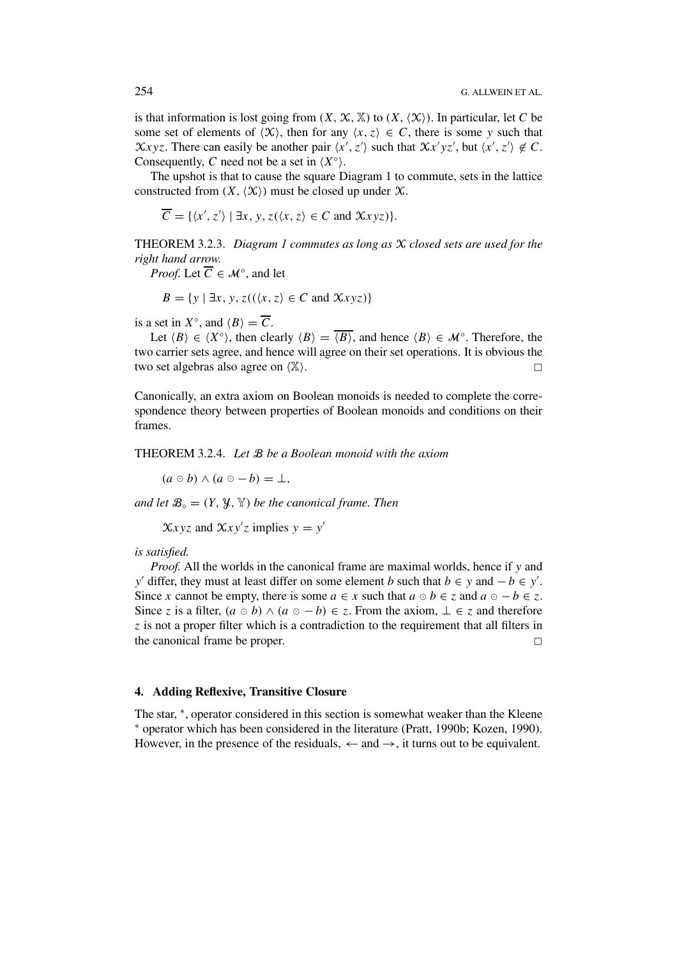is that information is lost going from  $(X, \mathcal{X}, \mathbb{X})$  to  $(X, \langle \mathcal{X} \rangle)$ . In particular, let C be some set of elements of  $\langle X \rangle$ , then for any  $\langle x, z \rangle \in C$ , there is some y such that  $\chi_{xyz}$ . There can easily be another pair  $\langle x', z' \rangle$  such that  $\chi_{x'}(x', z')$  but  $\langle x', z' \rangle \notin C$ . Consequently, *C* need not be a set in  $(X^{\circ})$ .

The upshot is that to cause the square Diagram 1 to commute, sets in the lattice constructed from  $(X, \langle X \rangle)$  must be closed up under X.

$$
\overline{C} = \{ \langle x', z' \rangle \mid \exists x, y, z(\langle x, z \rangle) \in C \text{ and } \mathcal{X}xyz \} \}.
$$

THEOREM 3.2.3. *Diagram 1 commutes as long as* X *closed sets are used for the right hand arrow.*

*Proof.* Let  $\overline{C} \in \mathcal{M}^{\circ}$ , and let

$$
B = \{ y \mid \exists x, y, z((\langle x, z \rangle \in C \text{ and } \mathcal{X}xyz) \}
$$

is a set in  $X^{\circ}$ , and  $\langle B \rangle = \overline{C}$ .

Let  $\langle B \rangle \in \langle X^\circ \rangle$ , then clearly  $\langle B \rangle = \overline{\langle B \rangle}$ , and hence  $\langle B \rangle \in \mathcal{M}^\circ$ . Therefore, the two carrier sets agree, and hence will agree on their set operations. It is obvious the two set algebras also agree on  $(X)$ .

Canonically, an extra axiom on Boolean monoids is needed to complete the correspondence theory between properties of Boolean monoids and conditions on their frames.

THEOREM 3.2.4. *Let* B *be a Boolean monoid with the axiom*

 $(a \circ b) \wedge (a \circ -b) = \perp$ ,

*and let*  $\mathcal{B}_{\circ} = (Y, \mathcal{Y}, \mathcal{Y})$  *be the canonical frame. Then* 

 $\chi_{xyz}$  and  $\chi_{xy'z}$  implies  $y = y'$ 

*is satisfied.*

*Proof.* All the worlds in the canonical frame are maximal worlds, hence if y and *y*' differ, they must at least differ on some element *b* such that *b* ∈ *y* and − *b* ∈ *y*'. Since *x* cannot be empty, there is some  $a \in x$  such that  $a \circ b \in z$  and  $a \circ -b \in z$ . Since *z* is a filter,  $(a \circ b) \land (a \circ -b) \in \mathbb{Z}$ . From the axiom,  $\bot \in \mathbb{Z}$  and therefore *z* is not a proper filter which is a contradiction to the requirement that all filters in the canonical frame be proper.

#### **4. Adding Reflexive, Transitive Closure**

The star,  $*$ , operator considered in this section is somewhat weaker than the Kleene  $*$  operator which has been considered in the literature (Pratt, 1990b; Kozen, 1990). However, in the presence of the residuals,  $\leftarrow$  and  $\rightarrow$ , it turns out to be equivalent.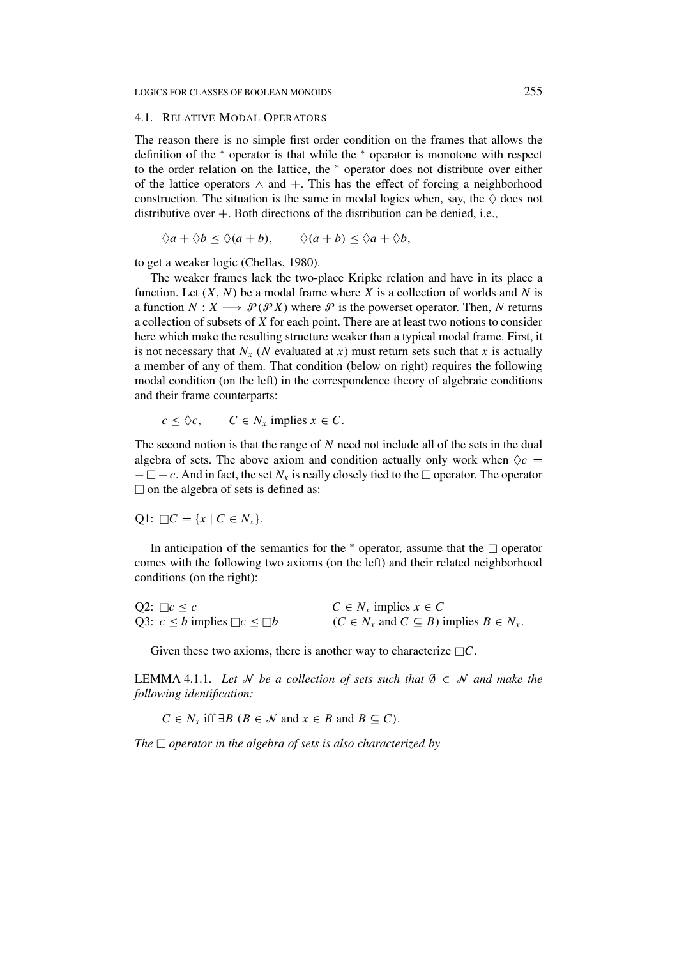#### 4.1. RELATIVE MODAL OPERATORS

The reason there is no simple first order condition on the frames that allows the definition of the <sup>∗</sup> operator is that while the <sup>∗</sup> operator is monotone with respect to the order relation on the lattice, the <sup>∗</sup> operator does not distribute over either of the lattice operators  $\land$  and  $+$ . This has the effect of forcing a neighborhood construction. The situation is the same in modal logics when, say, the  $\Diamond$  does not distributive over  $+$ . Both directions of the distribution can be denied, i.e.,

$$
\Diamond a + \Diamond b \leq \Diamond (a + b), \qquad \Diamond (a + b) \leq \Diamond a + \Diamond b,
$$

to get a weaker logic (Chellas, 1980).

The weaker frames lack the two-place Kripke relation and have in its place a function. Let  $(X, N)$  be a modal frame where X is a collection of worlds and N is a function  $N: X \longrightarrow \mathcal{P}(\mathcal{P}X)$  where  $\mathcal P$  is the powerset operator. Then, N returns a collection of subsets of *X* for each point. There are at least two notions to consider here which make the resulting structure weaker than a typical modal frame. First, it is not necessary that  $N_x$  (*N* evaluated at *x*) must return sets such that *x* is actually a member of any of them. That condition (below on right) requires the following modal condition (on the left) in the correspondence theory of algebraic conditions and their frame counterparts:

$$
c \leq \Diamond c, \qquad C \in N_x \text{ implies } x \in C.
$$

The second notion is that the range of *N* need not include all of the sets in the dual algebra of sets. The above axiom and condition actually only work when  $\Diamond c =$  $-\Box - c$ . And in fact, the set  $N_x$  is really closely tied to the  $\Box$  operator. The operator  $\Box$  on the algebra of sets is defined as:

$$
Q1: \Box C = \{x \mid C \in N_x\}.
$$

In anticipation of the semantics for the  $*$  operator, assume that the  $\Box$  operator comes with the following two axioms (on the left) and their related neighborhood conditions (on the right):

| Q2: $\Box c \leq c$                         | $C \in N_x$ implies $x \in C$                                  |
|---------------------------------------------|----------------------------------------------------------------|
| Q3: $c \leq b$ implies $\Box c \leq \Box b$ | $(C \in N_x \text{ and } C \subseteq B)$ implies $B \in N_x$ . |

Given these two axioms, there is another way to characterize  $\Box C$ .

LEMMA 4.1.1. Let N be a collection of sets such that  $\emptyset \in \mathcal{N}$  and make the *following identification:*

*C* ∈ *N<sub>x</sub>* iff ∃*B* (*B* ∈ *N* and *x* ∈ *B* and *B* ⊂ *C*).

*The*  $\Box$  *operator in the algebra of sets is also characterized by*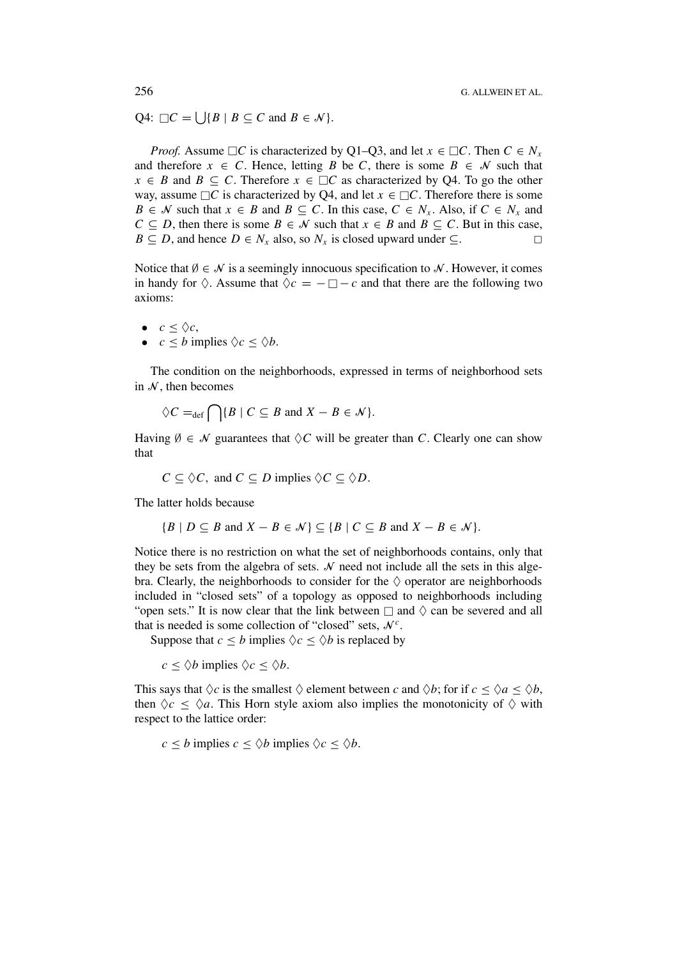Q4:  $\Box C = \bigcup \{ B \mid B \subseteq C \text{ and } B \in \mathcal{N} \}.$ 

*Proof.* Assume  $\Box C$  is characterized by Q1–Q3, and let  $x \in \Box C$ . Then  $C \in N_x$ and therefore  $x \in C$ . Hence, letting *B* be *C*, there is some  $B \in \mathcal{N}$  such that *x* ∈ *B* and *B* ⊆ *C*. Therefore  $x \text{ ∈ } \Box C$  as characterized by Q4. To go the other way, assume  $\Box C$  is characterized by Q4, and let  $x \in \Box C$ . Therefore there is some *B* ∈ *N* such that  $x \in B$  and  $B \subseteq C$ . In this case,  $C \in N_x$ . Also, if  $C \in N_x$  and *C* ⊆ *D*, then there is some *B* ∈ *N* such that  $x \in B$  and  $B \subseteq C$ . But in this case,  $B \subseteq D$ , and hence  $D \in N_x$  also, so  $N_x$  is closed upward under  $\subseteq$ .

Notice that  $\emptyset \in \mathcal{N}$  is a seemingly innocuous specification to  $\mathcal{N}$ . However, it comes in handy for  $\Diamond$ . Assume that  $\Diamond c = -\Box - c$  and that there are the following two axioms:

- $c \leq \Diamond c$ ,
- $c \leq b$  implies  $\Diamond c \leq \Diamond b$ .

The condition on the neighborhoods, expressed in terms of neighborhood sets in  $\mathcal N$ , then becomes

$$
\Diamond C =_{\text{def}} \bigcap \{ B \mid C \subseteq B \text{ and } X - B \in \mathcal{N} \}.
$$

Having  $\emptyset \in \mathcal{N}$  guarantees that  $\Diamond C$  will be greater than *C*. Clearly one can show that

$$
C \subseteq \Diamond C
$$
, and  $C \subseteq D$  implies  $\Diamond C \subseteq \Diamond D$ .

The latter holds because

$$
\{B \mid D \subseteq B \text{ and } X - B \in \mathcal{N}\} \subseteq \{B \mid C \subseteq B \text{ and } X - B \in \mathcal{N}\}.
$$

Notice there is no restriction on what the set of neighborhoods contains, only that they be sets from the algebra of sets.  $N$  need not include all the sets in this algebra. Clearly, the neighborhoods to consider for the  $\Diamond$  operator are neighborhoods included in "closed sets" of a topology as opposed to neighborhoods including "open sets." It is now clear that the link between  $\Box$  and  $\Diamond$  can be severed and all that is needed is some collection of "closed" sets,  $\mathcal{N}^c$ .

Suppose that  $c \leq b$  implies  $\Diamond c \leq \Diamond b$  is replaced by

 $c \leq \Diamond b$  implies  $\Diamond c \leq \Diamond b$ .

This says that  $\Diamond c$  is the smallest  $\Diamond$  element between *c* and  $\Diamond b$ ; for if  $c \leq \Diamond a \leq \Diamond b$ , then  $\Diamond c \leq \Diamond a$ . This Horn style axiom also implies the monotonicity of  $\Diamond$  with respect to the lattice order:

 $c < b$  implies  $c \le \Diamond b$  implies  $\Diamond c \le \Diamond b$ .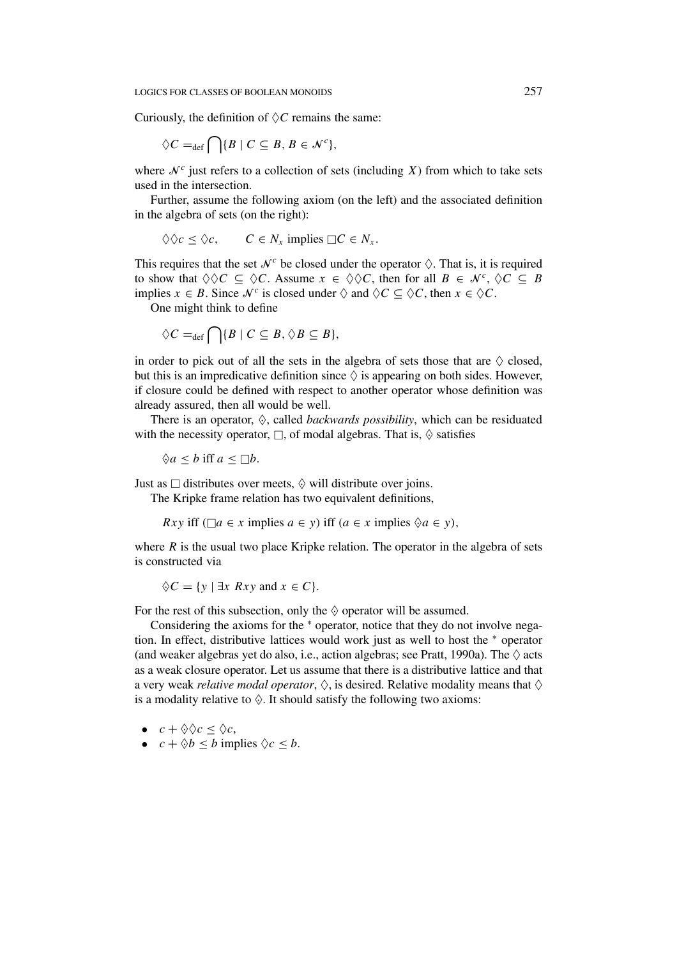Curiously, the definition of  $\Diamond C$  remains the same:

$$
\Diamond C =_{\text{def}} \bigcap \{ B \mid C \subseteq B, B \in \mathcal{N}^c \},
$$

where  $\mathcal{N}^c$  just refers to a collection of sets (including *X*) from which to take sets used in the intersection.

Further, assume the following axiom (on the left) and the associated definition in the algebra of sets (on the right):

$$
\Diamond \Diamond c \leq \Diamond c, \qquad C \in N_x \text{ implies } \Box C \in N_x.
$$

This requires that the set  $\mathcal{N}^c$  be closed under the operator  $\Diamond$ . That is, it is required to show that  $\Diamond \Diamond C \subseteq \Diamond C$ . Assume  $x \in \Diamond \Diamond C$ , then for all  $B \in \mathcal{N}^c$ ,  $\Diamond C \subseteq B$ implies  $x \in B$ . Since  $\mathcal{N}^c$  is closed under  $\Diamond$  and  $\Diamond C \subseteq \Diamond C$ , then  $x \in \Diamond C$ .

One might think to define

$$
\Diamond C =_{\text{def}} \bigcap \{ B \mid C \subseteq B, \Diamond B \subseteq B \},\
$$

in order to pick out of all the sets in the algebra of sets those that are  $\Diamond$  closed, but this is an impredicative definition since  $\Diamond$  is appearing on both sides. However, if closure could be defined with respect to another operator whose definition was already assured, then all would be well.

There is an operator,  $\Diamond$ , called *backwards possibility*, which can be residuated with the necessity operator,  $\Box$ , of modal algebras. That is,  $\Diamond$  satisfies

 $\Diamond a \leq b$  iff  $a \leq \Box b$ .

Just as  $\Box$  distributes over meets,  $\diamond$  will distribute over joins.

The Kripke frame relation has two equivalent definitions,

*Rxy* iff  $(\Box a \in x \text{ implies } a \in y)$  iff  $(a \in x \text{ implies } \Diamond a \in y)$ ,

where  $R$  is the usual two place Kripke relation. The operator in the algebra of sets is constructed via

$$
\diamondsuit C = \{ y \mid \exists x \; Rxy \text{ and } x \in C \}.
$$

For the rest of this subsection, only the  $\diamond$  operator will be assumed.

Considering the axioms for the <sup>∗</sup> operator, notice that they do not involve negation. In effect, distributive lattices would work just as well to host the <sup>∗</sup> operator (and weaker algebras yet do also, i.e., action algebras; see Pratt, 1990a). The  $\Diamond$  acts as a weak closure operator. Let us assume that there is a distributive lattice and that a very weak *relative modal operator*,  $\Diamond$ , is desired. Relative modality means that  $\Diamond$ is a modality relative to  $\Diamond$ . It should satisfy the following two axioms:

- $c + \Diamond \Diamond c < \Diamond c$ ,
- $c + \Diamond b \leq b$  implies  $\Diamond c \leq b$ .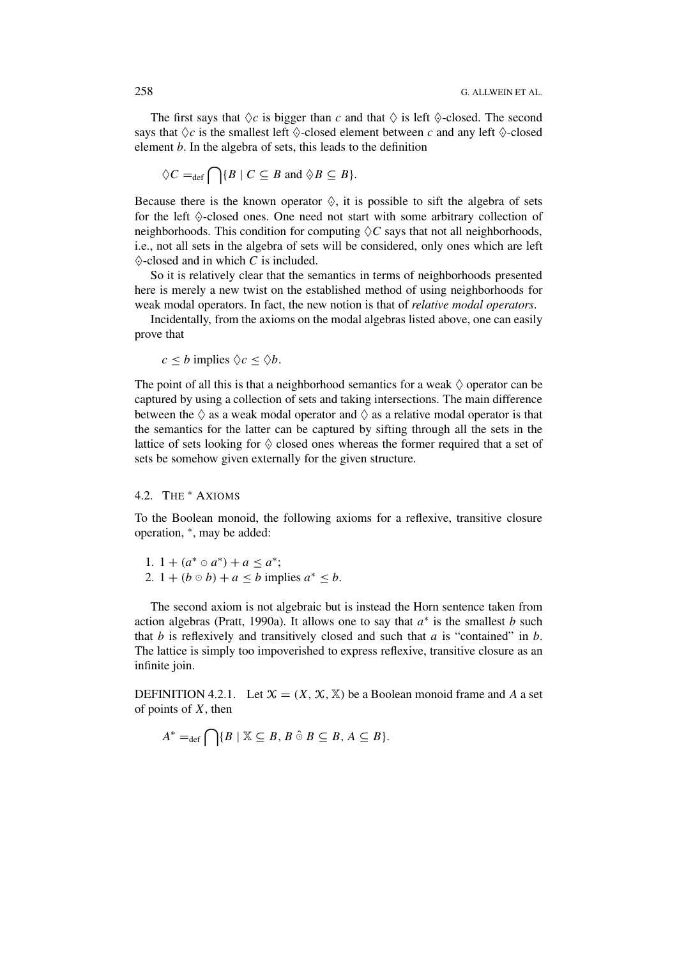The first says that  $\Diamond c$  is bigger than *c* and that  $\Diamond$  is left  $\Diamond$ -closed. The second says that  $\Diamond c$  is the smallest left  $\Diamond$ -closed element between *c* and any left  $\Diamond$ -closed element *b*. In the algebra of sets, this leads to the definition

$$
\Diamond C =_{\text{def}} \bigcap \{ B \mid C \subseteq B \text{ and } \Diamond B \subseteq B \}.
$$

Because there is the known operator  $\Diamond$ , it is possible to sift the algebra of sets for the left  $\diamond$ -closed ones. One need not start with some arbitrary collection of neighborhoods. This condition for computing  $\Diamond C$  says that not all neighborhoods, i.e., not all sets in the algebra of sets will be considered, only ones which are left  $\diamondsuit$ -closed and in which *C* is included.

So it is relatively clear that the semantics in terms of neighborhoods presented here is merely a new twist on the established method of using neighborhoods for weak modal operators. In fact, the new notion is that of *relative modal operators*.

Incidentally, from the axioms on the modal algebras listed above, one can easily prove that

 $c \leq b$  implies  $\Diamond c \leq \Diamond b$ .

The point of all this is that a neighborhood semantics for a weak  $\Diamond$  operator can be captured by using a collection of sets and taking intersections. The main difference between the  $\Diamond$  as a weak modal operator and  $\Diamond$  as a relative modal operator is that the semantics for the latter can be captured by sifting through all the sets in the lattice of sets looking for  $\Diamond$  closed ones whereas the former required that a set of sets be somehow given externally for the given structure.

## 4.2. THE <sup>∗</sup> AXIOMS

To the Boolean monoid, the following axioms for a reflexive, transitive closure operation, <sup>∗</sup>, may be added:

1. 1 +  $(a^* \circ a^*) + a \leq a^*$ ; 2.  $1 + (b \circ b) + a \le b$  implies  $a^* \le b$ .

The second axiom is not algebraic but is instead the Horn sentence taken from action algebras (Pratt, 1990a). It allows one to say that *a*<sup>∗</sup> is the smallest *b* such that *b* is reflexively and transitively closed and such that *a* is "contained" in *b*. The lattice is simply too impoverished to express reflexive, transitive closure as an infinite join.

DEFINITION 4.2.1. Let  $\mathcal{X} = (X, \mathcal{X}, \mathbb{X})$  be a Boolean monoid frame and A a set of points of *X*, then

$$
A^* =_{\text{def}} \bigcap \{ B \mid \mathbb{X} \subseteq B, B \hat{\circ} B \subseteq B, A \subseteq B \}.
$$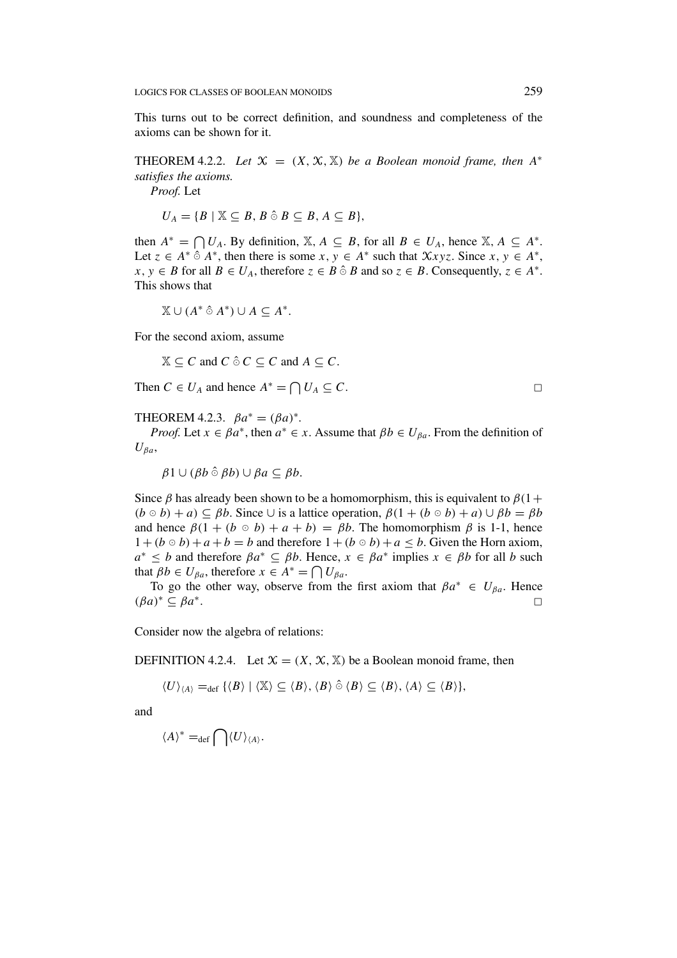This turns out to be correct definition, and soundness and completeness of the axioms can be shown for it.

THEOREM 4.2.2. Let  $\mathcal{X} = (X, \mathcal{X}, \mathbb{X})$  be a Boolean monoid frame, then  $A^*$ *satisfies the axioms.*

*Proof.* Let

$$
U_A = \{B \mid \mathbb{X} \subseteq B, B \hat{\circ} B \subseteq B, A \subseteq B\},\
$$

then  $A^* = \bigcap U_A$ . By definition,  $\mathbb{X}, A \subseteq B$ , for all  $B \in U_A$ , hence  $\mathbb{X}, A \subseteq A^*$ . Let  $z \in A^* \hat{\circ} A^*$ , then there is some  $x, y \in A^*$  such that  $\mathcal{X}xyz$ . Since  $x, y \in A^*$ , *x*, *y* ∈ *B* for all *B* ∈ *U<sub>A</sub>*, therefore *z* ∈ *B*  $\odot$  *B* and so *z* ∈ *B*. Consequently, *z* ∈ *A*<sup>∗</sup>. This shows that

 $\mathbb{X} \cup (A^* \hat{\circ} A^*) \cup A \subseteq A^*.$ 

For the second axiom, assume

 $\mathbb{X} \subseteq C$  and  $C \hat{\circ} C \subseteq C$  and  $A \subseteq C$ .

Then  $C \in U_A$  and hence  $A^* = \bigcap U_A \subseteq C$ .

THEOREM 4.2.3.  $\beta a^* = (\beta a)^*$ .

*Proof.* Let  $x \in \beta a^*$ , then  $a^* \in x$ . Assume that  $\beta b \in U_{\beta a}$ . From the definition of  $U_{\beta a}$ ,

 $\beta$ 1 ∪  $(\beta b \,\hat{\circ}\,\beta b)$  ∪  $\beta a \subseteq \beta b$ .

Since  $\beta$  has already been shown to be a homomorphism, this is equivalent to  $\beta(1+$  $(b \circ b) + a) \subseteq \beta b$ . Since  $\cup$  is a lattice operation,  $\beta(1 + (b \circ b) + a) \cup \beta b = \beta b$ and hence  $\beta(1 + (b \circ b) + a + b) = \beta b$ . The homomorphism  $\beta$  is 1-1, hence  $1 + (b \circ b) + a + b = b$  and therefore  $1 + (b \circ b) + a \leq b$ . Given the Horn axiom,  $a^* \leq b$  and therefore  $\beta a^* \subseteq \beta b$ . Hence,  $x \in \beta a^*$  implies  $x \in \beta b$  for all *b* such that  $\beta b \in U_{\beta a}$ , therefore  $x \in A^* = \bigcap U_{\beta a}$ .

To go the other way, observe from the first axiom that  $\beta a^* \in U_{\beta a}$ . Hence *(βa)*<sup>∗</sup> <sup>⊆</sup> *βa*<sup>∗</sup>.

Consider now the algebra of relations:

DEFINITION 4.2.4. Let  $\mathcal{X} = (X, \mathcal{X}, \mathbb{X})$  be a Boolean monoid frame, then

 $\langle U \rangle_{\langle A \rangle} =_{\text{def}} \{ \langle B \rangle | \langle \mathbb{X} \rangle \subseteq \langle B \rangle, \langle B \rangle \hat{\circ} \langle B \rangle \subseteq \langle B \rangle, \langle A \rangle \subseteq \langle B \rangle \},$ 

and

 $\langle A \rangle^* =_{def} \bigcap \langle U \rangle_{\langle A \rangle}.$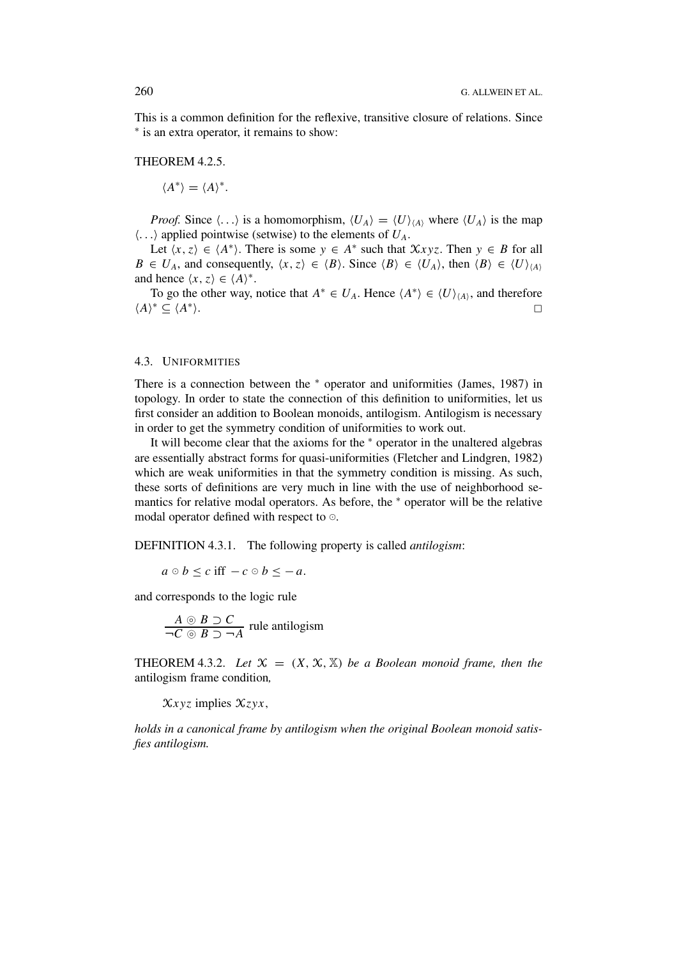This is a common definition for the reflexive, transitive closure of relations. Since <sup>∗</sup> is an extra operator, it remains to show:

THEOREM 4.2.5.

 $\langle A^* \rangle = \langle A \rangle^*$ .

*Proof.* Since  $\langle ... \rangle$  is a homomorphism,  $\langle U_A \rangle = \langle U \rangle_{\langle A \rangle}$  where  $\langle U_A \rangle$  is the map  $\langle \ldots \rangle$  applied pointwise (setwise) to the elements of  $U_A$ .

Let  $\langle x, z \rangle \in \langle A^* \rangle$ . There is some  $y \in A^*$  such that  $\mathcal{X}xyz$ . Then  $y \in B$  for all  $B \in U_A$ , and consequently,  $\langle x, z \rangle \in \langle B \rangle$ . Since  $\langle B \rangle \in \langle U_A \rangle$ , then  $\langle B \rangle \in \langle U \rangle_{\langle A \rangle}$ and hence  $\langle x, z \rangle \in \langle A \rangle^*$ .

To go the other way, notice that  $A^* \in U_A$ . Hence  $\langle A^* \rangle \in \langle U \rangle_{\langle A \rangle}$ , and therefore  $\langle A \rangle^* \subseteq \langle A^* \rangle.$ 

#### 4.3. UNIFORMITIES

There is a connection between the <sup>∗</sup> operator and uniformities (James, 1987) in topology. In order to state the connection of this definition to uniformities, let us first consider an addition to Boolean monoids, antilogism. Antilogism is necessary in order to get the symmetry condition of uniformities to work out.

It will become clear that the axioms for the <sup>∗</sup> operator in the unaltered algebras are essentially abstract forms for quasi-uniformities (Fletcher and Lindgren, 1982) which are weak uniformities in that the symmetry condition is missing. As such, these sorts of definitions are very much in line with the use of neighborhood semantics for relative modal operators. As before, the <sup>∗</sup> operator will be the relative modal operator defined with respect to  $\circ$ .

DEFINITION 4.3.1. The following property is called *antilogism*:

$$
a \circ b \le c \text{ iff } -c \circ b \le -a.
$$

and corresponds to the logic rule

$$
\frac{A \circ B \supset C}{\neg C \circ B \supset \neg A}
$$
 rule antilogism

THEOREM 4.3.2. Let  $\mathcal{X} = (X, \mathcal{X}, \mathbb{X})$  be a Boolean monoid frame, then the antilogism frame condition*,*

X*xyz* implies X*zyx,*

*holds in a canonical frame by antilogism when the original Boolean monoid satisfies antilogism.*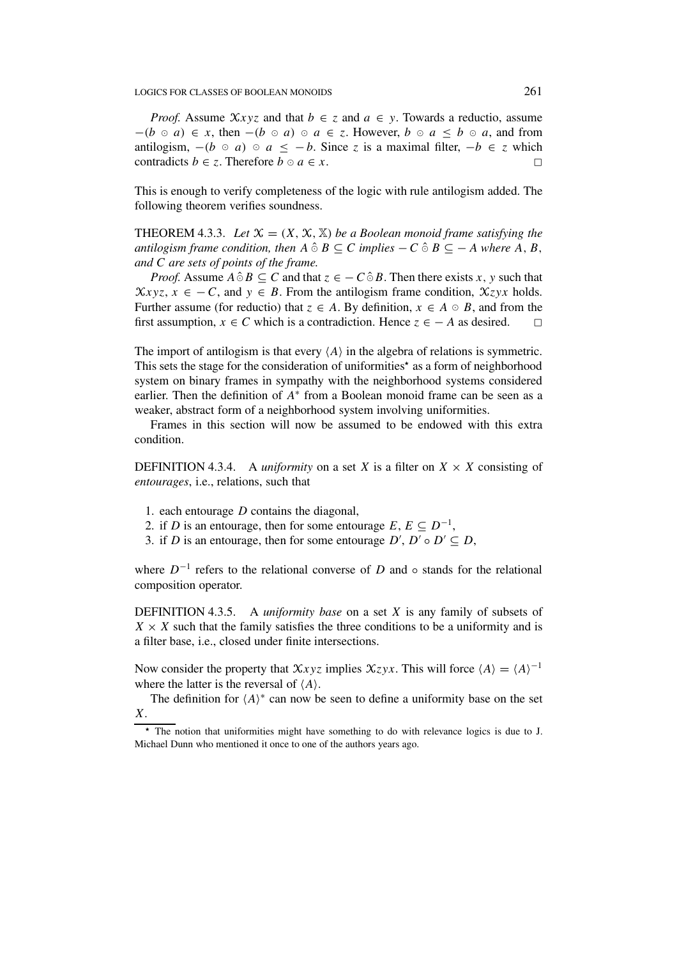*Proof.* Assume  $Xxyz$  and that  $b \in z$  and  $a \in y$ . Towards a reductio, assume  $-(b \circ a) \in x$ , then  $-(b \circ a) \circ a \in z$ . However,  $b \circ a \leq b \circ a$ , and from antilogism,  $-(b \circ a) \circ a \leq -b$ . Since *z* is a maximal filter,  $-b \in z$  which contradicts *b*  $\in$  *z*. Therefore *b*  $\circ$  *a*  $\in$  *x*.

This is enough to verify completeness of the logic with rule antilogism added. The following theorem verifies soundness.

THEOREM 4.3.3. Let  $\mathcal{X} = (X, \mathcal{X}, \mathbb{X})$  be a Boolean monoid frame satisfying the *antilogism frame condition, then*  $A \hat{\circ} B \subseteq C$  *implies*  $-C \hat{\circ} B \subseteq -A$  *where*  $A, B$ *, and C are sets of points of the frame.*

*Proof.* Assume  $A \hat{\circ} B \subseteq C$  and that  $z \in -C \hat{\circ} B$ . Then there exists *x*, *y* such that  $\chi_{xyz}$ ,  $x \in -C$ , and  $y \in B$ . From the antilogism frame condition,  $\chi_{zyx}$  holds. Further assume (for reductio) that  $z \in A$ . By definition,  $x \in A \circ B$ , and from the first assumption,  $x \in C$  which is a contradiction. Hence  $z \in -A$  as desired.

The import of antilogism is that every  $\langle A \rangle$  in the algebra of relations is symmetric. This sets the stage for the consideration of uniformities<sup>\*</sup> as a form of neighborhood system on binary frames in sympathy with the neighborhood systems considered earlier. Then the definition of *A*<sup>∗</sup> from a Boolean monoid frame can be seen as a weaker, abstract form of a neighborhood system involving uniformities.

Frames in this section will now be assumed to be endowed with this extra condition.

DEFINITION 4.3.4. A *uniformity* on a set *X* is a filter on  $X \times X$  consisting of *entourages*, i.e., relations, such that

- 1. each entourage *D* contains the diagonal,
- 2. if *D* is an entourage, then for some entourage  $E, E \subseteq D^{-1}$ ,
- 3. if *D* is an entourage, then for some entourage  $D'$ ,  $D' \circ D' \subseteq D$ ,

where *D*<sup>−</sup><sup>1</sup> refers to the relational converse of *D* and ◦ stands for the relational composition operator.

DEFINITION 4.3.5. A *uniformity base* on a set *X* is any family of subsets of  $X \times X$  such that the family satisfies the three conditions to be a uniformity and is a filter base, i.e., closed under finite intersections.

Now consider the property that  $\mathcal{X}xyz$  implies  $\mathcal{X}zyx$ . This will force  $\langle A \rangle = \langle A \rangle^{-1}$ where the latter is the reversal of  $\langle A \rangle$ .

The definition for  $\langle A \rangle^*$  can now be seen to define a uniformity base on the set *X*.

*<sup>-</sup>* The notion that uniformities might have something to do with relevance logics is due to J. Michael Dunn who mentioned it once to one of the authors years ago.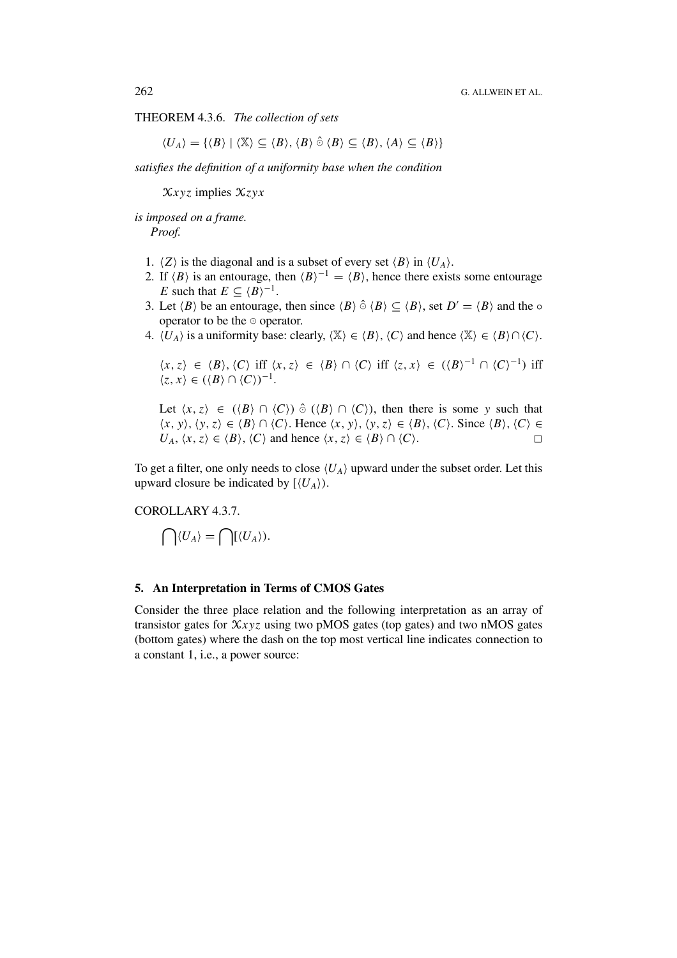THEOREM 4.3.6. *The collection of sets*

 $\langle U_A \rangle = \{ \langle B \rangle | \langle \mathbb{X} \rangle \subseteq \langle B \rangle, \langle B \rangle \hat{\circ} \langle B \rangle \subseteq \langle B \rangle, \langle A \rangle \subseteq \langle B \rangle \}$ 

*satisfies the definition of a uniformity base when the condition*

X*xyz* implies X*zyx*

*is imposed on a frame. Proof.*

- 1.  $\langle Z \rangle$  is the diagonal and is a subset of every set  $\langle B \rangle$  in  $\langle U_A \rangle$ .
- 2. If  $\langle B \rangle$  is an entourage, then  $\langle B \rangle^{-1} = \langle B \rangle$ , hence there exists some entourage *E* such that  $E \subseteq \langle B \rangle^{-1}$ .
- 3. Let  $\langle B \rangle$  be an entourage, then since  $\langle B \rangle \hat{\circ} \langle B \rangle \subseteq \langle B \rangle$ , set  $D' = \langle B \rangle$  and the  $\circ$ operator to be the  $\circ$  operator.
- 4.  $\langle U_A \rangle$  is a uniformity base: clearly,  $\langle X \rangle \in \langle B \rangle$ ,  $\langle C \rangle$  and hence  $\langle X \rangle \in \langle B \rangle \cap \langle C \rangle$ .

$$
\langle x, z \rangle \in \langle B \rangle, \langle C \rangle \text{ iff } \langle x, z \rangle \in \langle B \rangle \cap \langle C \rangle \text{ iff } \langle z, x \rangle \in (\langle B \rangle^{-1} \cap \langle C \rangle^{-1}) \text{ iff } \langle z, x \rangle \in (\langle B \rangle \cap \langle C \rangle)^{-1}.
$$

Let  $\langle x, z \rangle \in (\langle B \rangle \cap \langle C \rangle) \hat{\circ} (\langle B \rangle \cap \langle C \rangle)$ , then there is some y such that  $\langle x, y \rangle$ ,  $\langle y, z \rangle \in \langle B \rangle \cap \langle C \rangle$ . Hence  $\langle x, y \rangle$ ,  $\langle y, z \rangle \in \langle B \rangle$ ,  $\langle C \rangle$ . Since  $\langle B \rangle$ ,  $\langle C \rangle \in$ *U<sub>A</sub>*,  $\langle x, z \rangle$  ∈  $\langle B \rangle$ ,  $\langle C \rangle$  and hence  $\langle x, z \rangle$  ∈  $\langle B \rangle$  ∩  $\langle C \rangle$ . □

To get a filter, one only needs to close  $\langle U_A \rangle$  upward under the subset order. Let this upward closure be indicated by  $[\langle U_A \rangle]$ .

# COROLLARY 4.3.7.

$$
\bigcap \langle U_A \rangle = \bigcap [\langle U_A \rangle).
$$

## **5. An Interpretation in Terms of CMOS Gates**

Consider the three place relation and the following interpretation as an array of transistor gates for X*xyz* using two pMOS gates (top gates) and two nMOS gates (bottom gates) where the dash on the top most vertical line indicates connection to a constant 1, i.e., a power source: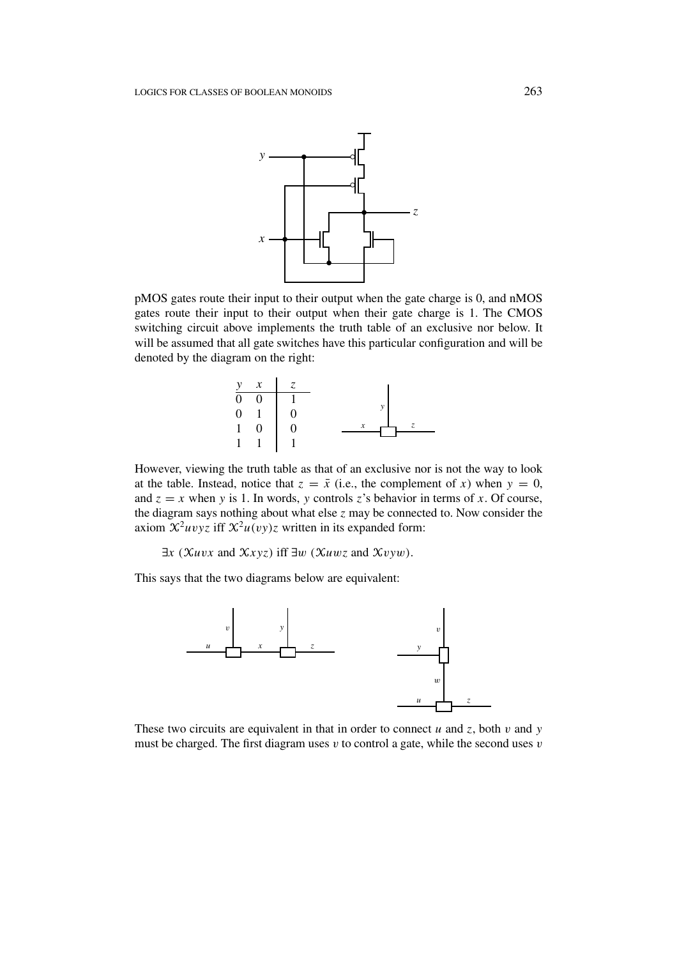

pMOS gates route their input to their output when the gate charge is 0, and nMOS gates route their input to their output when their gate charge is 1. The CMOS switching circuit above implements the truth table of an exclusive nor below. It will be assumed that all gate switches have this particular configuration and will be denoted by the diagram on the right:



However, viewing the truth table as that of an exclusive nor is not the way to look at the table. Instead, notice that  $z = \bar{x}$  (i.e., the complement of *x*) when  $y = 0$ , and  $z = x$  when *y* is 1. In words, *y* controls *z*'s behavior in terms of *x*. Of course, the diagram says nothing about what else *z* may be connected to. Now consider the axiom  $\mathcal{X}^2 u v v z$  iff  $\mathcal{X}^2 u (v y) z$  written in its expanded form:

∃*x (*X*uvx* and X*xyz)* iff ∃*w (*X*uwz* and X*vyw).*

This says that the two diagrams below are equivalent:



These two circuits are equivalent in that in order to connect  $u$  and  $z$ , both  $v$  and  $y$ must be charged. The first diagram uses *v* to control a gate, while the second uses *v*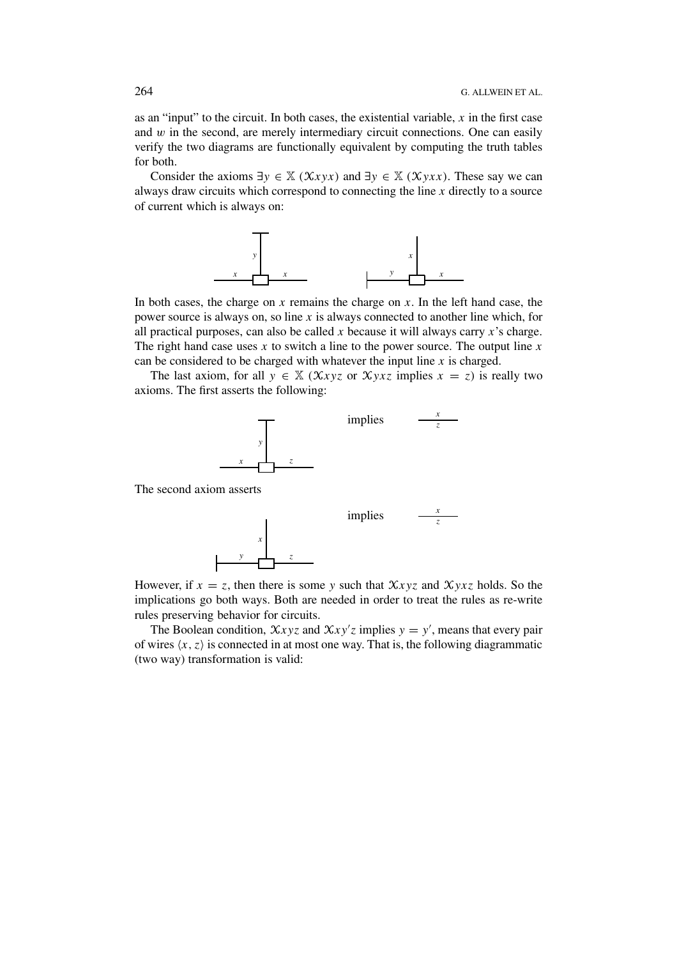as an "input" to the circuit. In both cases, the existential variable, *x* in the first case and  $w$  in the second, are merely intermediary circuit connections. One can easily verify the two diagrams are functionally equivalent by computing the truth tables for both.

Consider the axioms  $\exists y \in \mathbb{X}$  *(Xxyx)* and  $\exists y \in \mathbb{X}$  *(Xyxx)*. These say we can always draw circuits which correspond to connecting the line *x* directly to a source of current which is always on:



In both cases, the charge on *x* remains the charge on *x*. In the left hand case, the power source is always on, so line *x* is always connected to another line which, for all practical purposes, can also be called *x* because it will always carry *x*'s charge. The right hand case uses *x* to switch a line to the power source. The output line *x* can be considered to be charged with whatever the input line *x* is charged.

The last axiom, for all  $y \in X$  ( $Xxyz$  or  $Xyxz$  implies  $x = z$ ) is really two axioms. The first asserts the following:



The second axiom asserts



However, if  $x = z$ , then there is some *y* such that  $\mathcal{X}xyz$  and  $\mathcal{X}yxz$  holds. So the implications go both ways. Both are needed in order to treat the rules as re-write rules preserving behavior for circuits.

The Boolean condition,  $\mathcal{X}xyz$  and  $\mathcal{X}xy'z$  implies  $y = y'$ , means that every pair of wires  $\langle x, z \rangle$  is connected in at most one way. That is, the following diagrammatic (two way) transformation is valid: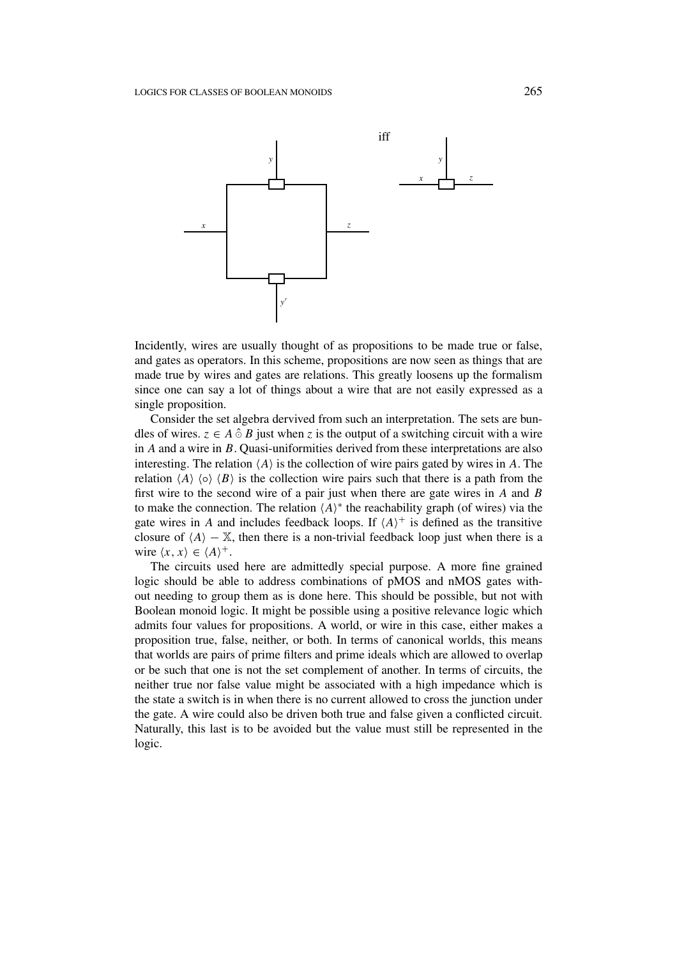

Incidently, wires are usually thought of as propositions to be made true or false, and gates as operators. In this scheme, propositions are now seen as things that are made true by wires and gates are relations. This greatly loosens up the formalism since one can say a lot of things about a wire that are not easily expressed as a single proposition.

Consider the set algebra dervived from such an interpretation. The sets are bundles of wires.  $z \in A \hat{\circ} B$  just when *z* is the output of a switching circuit with a wire in *A* and a wire in *B*. Quasi-uniformities derived from these interpretations are also interesting. The relation  $\langle A \rangle$  is the collection of wire pairs gated by wires in A. The relation  $\langle A \rangle \langle \circ \rangle \langle B \rangle$  is the collection wire pairs such that there is a path from the first wire to the second wire of a pair just when there are gate wires in *A* and *B* to make the connection. The relation  $\langle A \rangle^*$  the reachability graph (of wires) via the gate wires in *A* and includes feedback loops. If  $\langle A \rangle^+$  is defined as the transitive closure of  $\langle A \rangle - \mathbb{X}$ , then there is a non-trivial feedback loop just when there is a wire  $\langle x, x \rangle \in \langle A \rangle^+$ .

The circuits used here are admittedly special purpose. A more fine grained logic should be able to address combinations of pMOS and nMOS gates without needing to group them as is done here. This should be possible, but not with Boolean monoid logic. It might be possible using a positive relevance logic which admits four values for propositions. A world, or wire in this case, either makes a proposition true, false, neither, or both. In terms of canonical worlds, this means that worlds are pairs of prime filters and prime ideals which are allowed to overlap or be such that one is not the set complement of another. In terms of circuits, the neither true nor false value might be associated with a high impedance which is the state a switch is in when there is no current allowed to cross the junction under the gate. A wire could also be driven both true and false given a conflicted circuit. Naturally, this last is to be avoided but the value must still be represented in the logic.